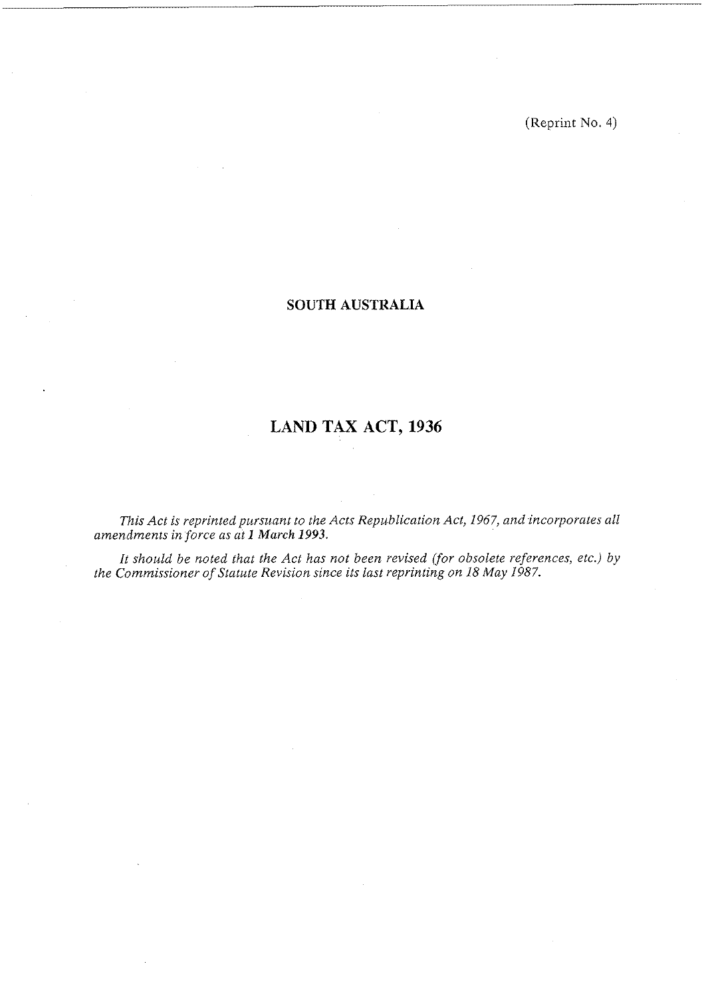(Reprint No. 4)

# **SOUTH AUSTRALIA**

# **LAND TAX ACT, 1936**

*This Act is reprinted pursuant to the Acts Republication Act, 1967, and incorporates all amendments in force as at 1 March 1993.* 

*It should be noted that the Act has not been revised (for obsolete references, etc.) by the Commissioner of Statute Revision since its last reprinting on 18 May 1987.*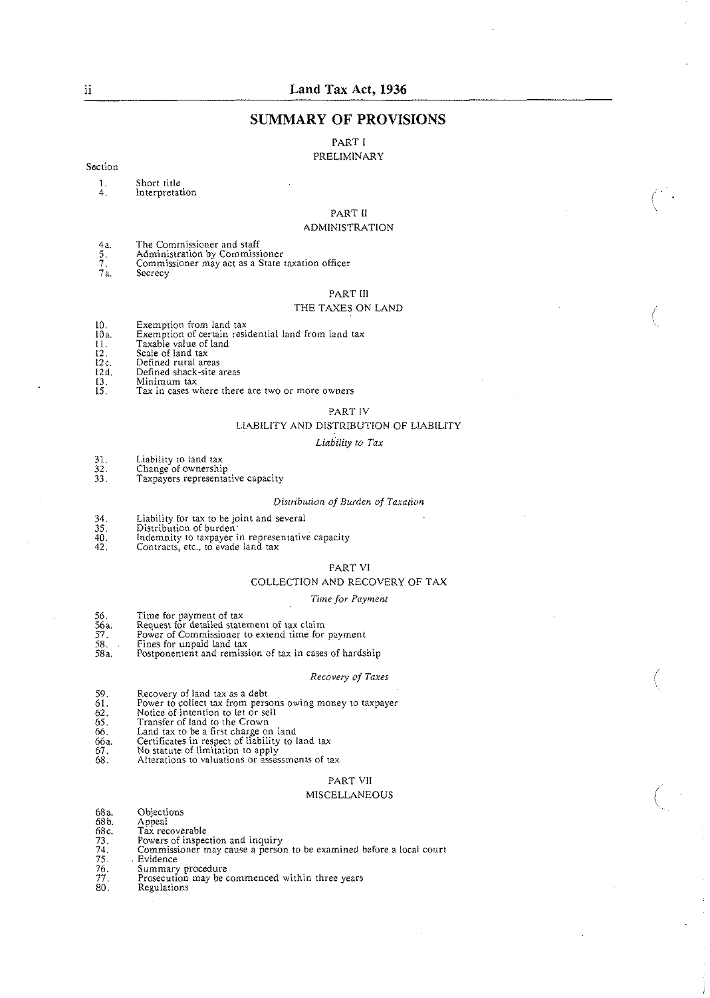## **SUMMARY OF PROVISIONS**

## PART I

## PRELIMINARY

#### Section

- 1. Short title<br>4. Interpretat **Interpretation**
- 

# PART I1

#### ADMINISTRATION

- 
- 48. The Commissioner and staff 5. Administration by Commissioner
- 4a. The Commissioner and staff<br>5. Administration by Commissioner<br>7. Commissioner may act as a State taxation officer<br>7a. Secrecy
- Secrecy

#### PART Ill

#### THE TAXES ON LAND

- 
- 10. Exemption from land tax lOa. Exemption of certain residential land from land tax
- 11. Taxable value of land 12. Scale of land tax
- 
- 
- 
- 12. Scale of land tax<br>12c. Defined rural areas<br>12d. Defined shack-site areas<br>13. Minimum tax<br>15. Tax in cases where there
- Tax in cases where there are two or more owners

#### PART IV

#### L.IABILITY AND DISTRIBUTION OF LIABILITY

#### Liability to Tax

- 
- 31. Liability to land tax<br>32. Change of ownership
- 31. Liability to land tax<br>32. Change of ownership<br>33. Taxpayers representative capacity

#### *Di.riribution of Burden of* Tuxacion

- Liability for tax to be joint and several 34.
- $\frac{35}{40}$
- 
- 35. Distribution of burden<br>40. Indemnity to taxpayer in representative capacity<br>42. Contracts, etc., to evade land tax

#### PART VI

#### COLLECTION AND RECOVERY OF TAX

#### *Time for Paymen1*

- 
- 56. Time for payment of tax 56a. Request for detailed statement of tax claim
- 57. Power of Commissioner to extend time for payment
- 
- 58. Fines for unpaid land **lax**  58a. Postponement and remission of tax in cases of hardship

#### *Recovery of Tuxes*

- 
- 59. Recovery of land tax as a debt<br>61. Power to collect tax from persons owing money to taxpayer 59. Recovery of land tax as a debt<br>61. Power to collect tax from person<br>62. Notice of intention to let or sell<br>65. Transfer of land to the Crown
- 
- *65.* Transfer of land to the Crown
- *66.* Land tax to be a first charee on land
- 66a. Certificates in respect of liability to land tax 67.
- 67. No statute of limitation to apply<br>68. Alterations to valuations or assessments of tax
- 

#### PART VII

#### MISCELLANEOUS

- 68a. Objections<br>68b. Appeal
- 
- Appeal<br>Tax recoverable 68c.<br>73.<br>74.<br>75.<br>76.<br>77.<br>80.
- 
- Powers of inspection and inquiry Commissioner may cause a person to be examined before a local court
- Evidence
- Summary procedure
- Prosecution may be commenced within three years
- Regulations

 $\ddot{\mathbf{1}}$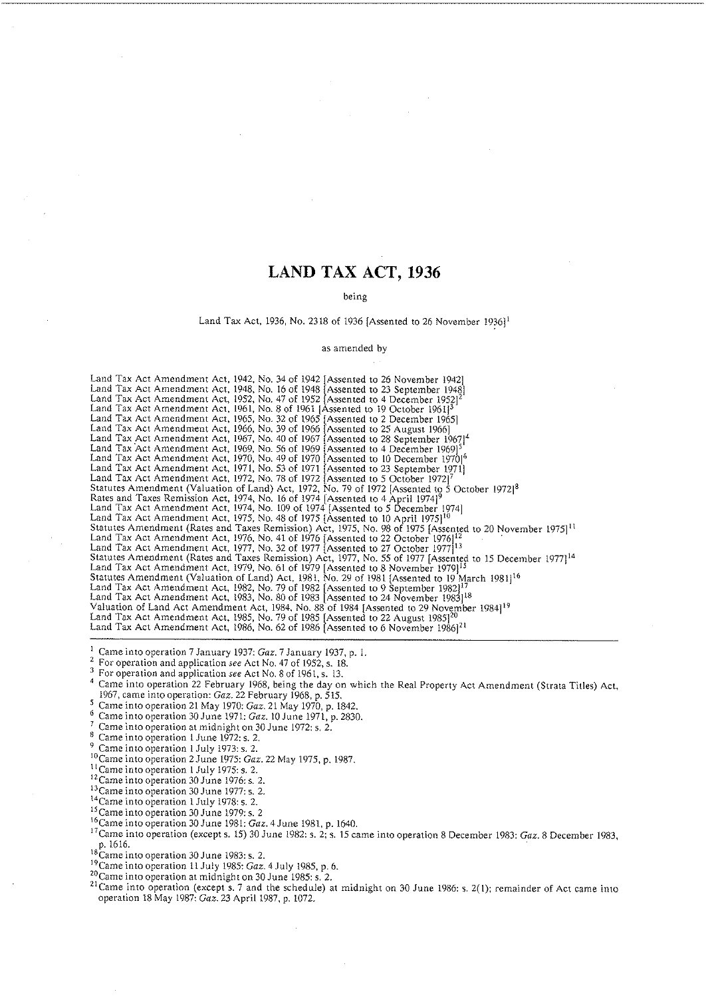# **LAND TAX ACT, 1936**

#### being

### Land Tax Act, 1936, No. 2318 of 1936 [Assented to 26 November 1936]<sup>1</sup>

#### as amended by

Land 'Tax Act Amendment Act, 1942. No. 34 of 1942 [Assented to 26 November 1942) Land Tax Act Amendment Act, 1948, No. 16 of 1948 [Assented to 23 September 1948]  $\,$ and Tax Act Amendment Act, 1952, No. 47 of 1952 [Assented to 4 December 1952]<sup>2</sup><br>Jand Tax Act Amendment Act, 1961, No. 8 of 1961 [Assented to 19 October 1961]<sup>3</sup> Land Tax Act Amendment Act, 1965, No. 32 of 1965 [Assented to 2 December 1965] Land Tax Act Amendment Act, 1966, No. 39 of 1966 [Assented to 25 August 1966]. Land Tax Act Amendment Act, 1967, No. 40 of 1967 [Assented to 28 September 1967] $^4$ Land Tax Act Amendment Act, 1969, No. 56 of 1969 [Assented to 4 December 1969]<sup>51</sup><br>Land Tax Act Amendment Act, 1970, No. 49 of 1970 [Assented to 10 December 1970]<sup>6</sup><br>Land Tax Act Amendment Act, 1971, No. 53 of 1971 [Assent Statutes Amendment (Valuation of Land) Act. 1972, No. 79 of 1972 (Assented to 5 October 1972j8 Rates and Taxes Remission Act, 1974, No. 16 of 1974 [Assented to 4 April 1974] $^9$ Land Tax Act Amendment Act, 1974, No. 109 of 1974 [Assented to 5 December 1974] Land Tax Act Amendment Act, 1975, No. 48 of 1975 [Assented to 10 April 1975] $^{10}$   $\,$ Statutes Amendment (Rates and Taxes Remission) Act, 1975, No. 98 of 1975 [Assented to 20 November 1975] $^{11}$ and Tax Act Amendment Act, 1976, No. 41 of 1976 [Assented to 22 October 1976] $^{12}$ and Tax Act Amendment Act, 1977, No. 32 of 1977 [Assented to 27 October 1977] $^{13}$ Statutes Amendment (Rates and Taxes Remission) Act, 1977, No. 55 of 1977 [Assented to 15 December 1977114 Land Tax Act Amendment Act, 1979, No. 61 of 1979 [Assented to 8 November 1979] $^{15}$ Statutes Amendment (Valuation of Land) Act, 1981, No. 29 of 1981 [Assented to 19 March 1981] $^{16}$ Land Tax Act Amendment Act, 1982, No. 79 of 1982 [Assented to 9 September 1982] $\frac{17}{16}$ and Tax Act Amendment Act, 1983, No. 80 of 1983 [Assented to 24 November 1983] $^{18}$ Valuation of Land Act Amendment Act, 1984. No. 88 of 1984 [Assented to 29 November 1984j'9 Land Tax Act Amendment Act, 1985, No. 79 of 1985 [Assented to 22 August 1985] $^{20}$  . Land Tax Act Amendment Act, 1986, No. 62 of 1986 [Assented to 6 November 1986] $^{21}$ 

<sup>1</sup> Came into operation 7 January 1937: Gaz. 7 January 1937, p. 1.<br><sup>2</sup> For operation and application see Act No. 47 of 1952, s. 18.

For operation and application see Act No. 8 of 1961, s. 13.

"ame into operation 22 February 1968, being the day on which the Real Property Act Amendment (Strata Titles) Act, 1967, came into operation: Gaz. 22 February 1968, p. 515.

Came into operation 21 May 1970: Gaz. 21 May 1970, p. 1842.

<sup>6</sup> Came into operation 30 June 1971: Gaz. 10 June 1971, p. 2830.<br>
<sup>7</sup> Came into operation at midnight on 30 June 1972: s. 2.

Came into operation 1 June 1972: s. 2.

<sup>9</sup> Came into operation 1 July 1973: s. 2.<br><sup>10</sup>Came into operation 2 June 1975: Gaz. 22 May 1975, p. 1987.

<sup>11</sup> Came into operation 1 July 1975: s. 2.

<sup>12</sup>Came into operation 30 June 1976: s. 2.

<sup>13</sup> Came into operation 30 June 1977: s. 2.

<sup>14</sup>Came into operation 1 July 1978: s. 2.

 $^{15}$ Came into operation 30 June 1979: s. 2

I6Came into operation 30 June 1981: Gaz. 4 June 1981. p. 1640.

<sup>17</sup> Came into operation (except s. 15) 30 June 1982: s. 2; s. 15 came into operation 8 December 1983: *Gaz.* 8 December 1983, p. 1616.<br><sup>18</sup>Came into operation 30 June 1983: s. 2.

<sup>19</sup>Came into operation 11 July 1985; Gaz. 4 July 1985, p. 6.

 $^{20}_{\circ}$ Came into operation at midnight on 30 June 1985: s. 2.

<sup>21</sup> Came into operation (except s. 7 and the schedule) at midnight on 30 June 1986: s. 2(1); remainder of Act came into operation 18 May 1987: Gaz. 23 April 1987. p. 1072.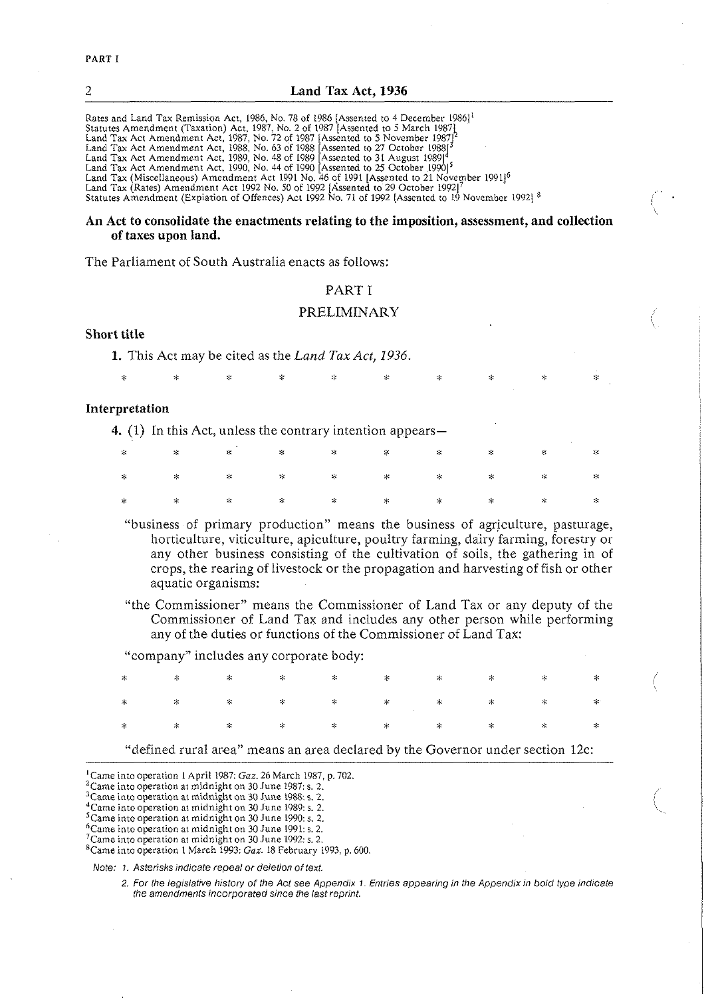| 2<br>Land Tax Act, 1936                                                                                                                                                                                                                                                                                                                                                                                                                                                                                                                                                                                                                                                                                                                                                                                                                                                                |
|----------------------------------------------------------------------------------------------------------------------------------------------------------------------------------------------------------------------------------------------------------------------------------------------------------------------------------------------------------------------------------------------------------------------------------------------------------------------------------------------------------------------------------------------------------------------------------------------------------------------------------------------------------------------------------------------------------------------------------------------------------------------------------------------------------------------------------------------------------------------------------------|
| Rates and Land Tax Remission Act, 1986, No. 78 of 1986 [Assented to 4 December 1986] <sup>1</sup><br>Statutes Amendment (Taxation) Act, 1987, No. 2 of 1987 [Assented to 5 March 1987]<br>Land Tax Act Amendment Act, 1987, No. 72 of 1987 (Assented to 5 November 1987) <sup>2</sup><br>Land Tax Act Amendment Act, 1988, No. 63 of 1988 [Assented to 27 October 1988] <sup>3</sup><br>Land Tax Act Amendment Act, 1989, No. 48 of 1989 [Assented to 31 August 1989] <sup>4</sup><br>Land Tax Act Amendment Act, 1990, No. 44 of 1990 [Assented to 25 October 1990] <sup>5</sup><br>Land Tax (Miscellaneous) Amendment Act 1991 No. 46 of 1991 [Assented to 21 November 1991] <sup>6</sup><br>Land Tax (Rates) Amendment Act 1992 No. 50 of 1992 [Assented to 29 October 1992]<br>Statutes Amendment (Explation of Offences) Act 1992 No. 71 of 1992 [Assented to 19 November 1992] 8 |
|                                                                                                                                                                                                                                                                                                                                                                                                                                                                                                                                                                                                                                                                                                                                                                                                                                                                                        |

## **An Act to consolidate the enactments relating to the imposition, assessment, and collection of taxes upon land.**

'The Parliament of South Australia enacts as follows:

## PART I

#### PRELIMINARY

## **Short title**

**1.** This Act may be cited as the Land Tax Act, *1936.* 

X X X X ::: **X** X 2:: Y <sup>X</sup>

#### **Interpretation**

**4.** (1) In this Act, unless the contrary intention appears—

|  |  |  |  | $\begin{array}{ccccccccccccccccccccccccc} \times & \times & \times & \times & \times & \times & \times & \times & \times & \times \end{array}$ |  |
|--|--|--|--|------------------------------------------------------------------------------------------------------------------------------------------------|--|
|  |  |  |  |                                                                                                                                                |  |

- "business of primary production" means the business of agriculture, pasturage, horticulture, viticulture, apiculture, poultry farming, dairy farming, forestry or any other business consisting of the cultivation of soils, the gathering in of crops, the rearing of livestock or the propagation and harvesting of fish or other aquatic organisms:
- "the Commissioner" means the Commissioner of Land Tax or any deputy of the Commissioner of Land Tax and includes any other person while performing any of the duties or functions of the Commissioner of Land Tax:

"company" includes any corporate body:

#### "defined rural area" means an area declared by the Governor under section 12c:

'Came into operation I April 1987: Gaz. 26 March 1987, p. 702.

Note: **7.** Asterisks indicate repeal or deletion of text.

<sup>&</sup>lt;sup>2</sup> Came into operation at midnight on 30 June 1987: s. 2.

<sup>3~</sup>ame into operation at midnight on 30 June 1988 **s.** *2.* 

<sup>&</sup>lt;sup>4</sup> Came into operation at midnight on 30 June 1989: s. 2.

<sup>&#</sup>x27;came into operation at midnight on 30 June 1990: s. 2.

<sup>&</sup>lt;sup>6</sup> Came into operation at midnight on 30 June 1991: s. 2.

<sup>&#</sup>x27;came intooperation at midnight on 30 June 1992: s. *2.* 

<sup>&</sup>lt;sup>8</sup>Came into operation 1 March 1993: *Gaz*. 18 February 1993, p. 600.

<sup>2.</sup> For the legisiadve history of the Act see Appendix 1. Entries appearing in the Appendix in bold type indicate the amendments incorporated since the last reprint.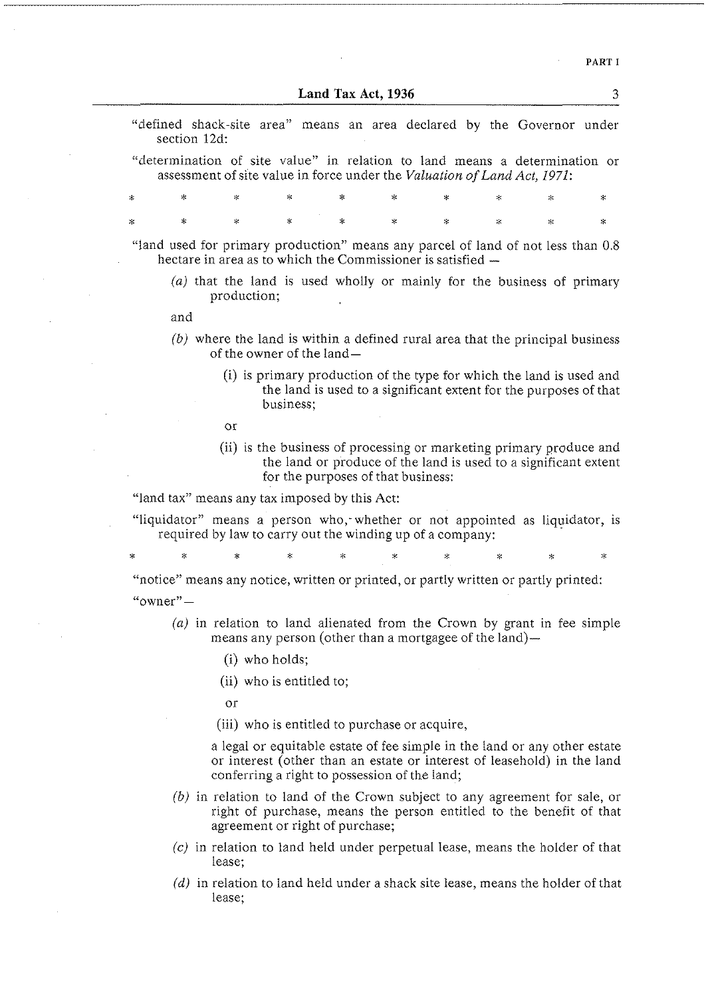**PART I** 

**3** 

**Land Tax Act. 1936** 

| "defined shack-site area" means an area declared by the Governor under |  |  |  |  |  |
|------------------------------------------------------------------------|--|--|--|--|--|
| section 12d:                                                           |  |  |  |  |  |

"determination of site value" in relation to land means a determination or assessment of site value in force under the *Valuation of Land Act, 1971:* 

 $\mathbf{r}$ ų,  $\mathbf{r}$ ý.  $\ast$  $\mathbf{r}$ 

"land used for primary production" means any parcel of land of not less than 0.8 hectare in area as to which the Commissioner is satisfied -

*(a)* that the land is used wholly or mainly for the business of primary production;

and

- *(b)* where the land is within a defined rural area that the principal business of the owner of the land-
	- (i) is primary production of the type for which the land is used and the land is used to a significant extent for the purposes of that business;

or

(ii) is the business of processing or marketing primary produce and the land or produce of the land is used to a significant extent for the purposes of that business:

"land tax" means any tax imposed by this Act:

"liquidator" means a person who, whether or not appointed as liquidator, is required by law to carry out the winding up of a company:

 $\ddot{\phantom{a}}$ 

"notice" means any notice, written or printed, or partly written or partly printed: " $^{\alpha}$ owner" —

- (a) in relation to land alienated from the Crown by grant in fee simple means any person (other than a mortgagee of the land)-
	- (i) who holds;

(ii) who is entitled to;

or

(iii) who is entitled to purchase or acquire,

a legal or equitable estate of fee simple in the land or any other estate or interest (other than an estate or interest of leasehold) in the land conferring a right to possession of the land;

- *(b)* in relation to land of the Crown subject to any agreement for sale, or right of purchase, means the person entitled to the benefit of that agreement or right of purchase;
- *(c)* in relation to land held under perpetual lease, means the holder of that lease;
- (d) in relation to land held under a shack site lease, means the holder of that lease: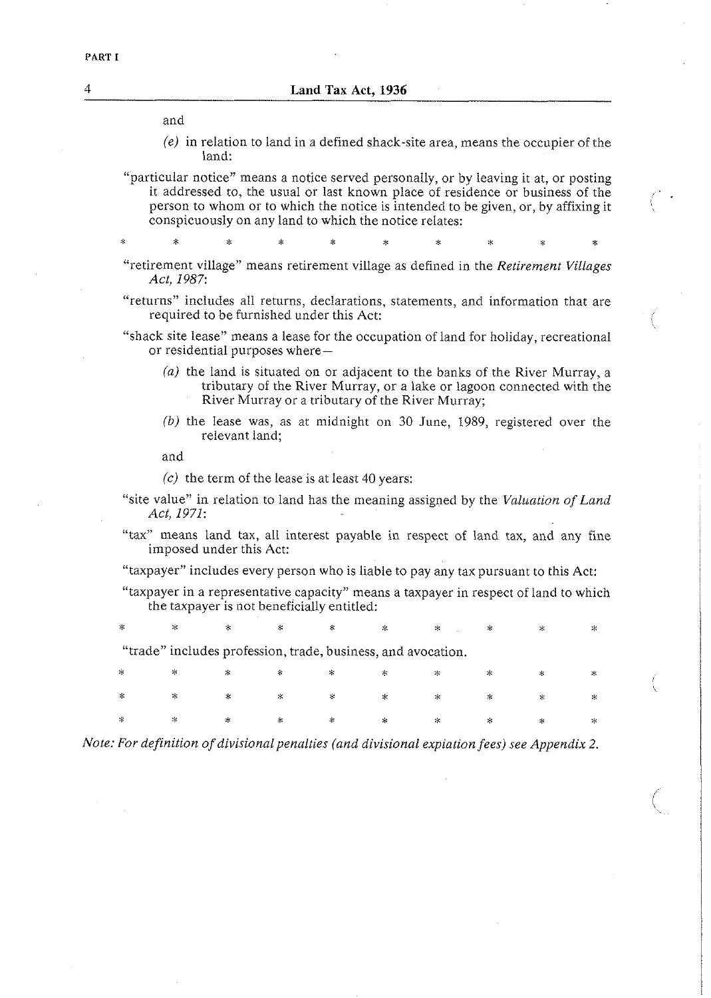and

*(e)* in relation to land in a defined shack-site area, means the occupier of the land:

"particular notice" means a notice served personally, or by leaving it at, or posting person to whom or to which the notice is intended to be given, or, by affixing it conspicuously on any land to which the notice relates:

"retirement village" means retirement village as defined in the *Retirement Villages Act, 1987:* 

ź.

"returns" includes all returns, declarations, statements, and information that are required to be furnished under this Act:

"shack site lease" means a lease for the occupation of land for holiday, recreational or residential purposes where-

- *(a)* the land is situated on or adjacent to the banks of the River Murray, a tributary of the River Murray, or a lake or lagoon connected with the River Murray or a tributary of the River Murray;
- (b) the lease was, as at midnight on 30 June, 1989, registered over the relevant land;

and

 $(c)$  the term of the lease is at least 40 years:

"site value" in relation to land has the meaning assigned by the *Valuation of Land Act, 1971:* 

"tax" means land tax, all interest payable in respect of land tax, and any fine imposed under this Act:

"taxpayer" includes every person who is liable to pay any tax pursuant to this Act:

"taxpayer in a representative capacity" means a taxpayer in respect of land to which the taxpayer is not beneficially entitled:

÷.

"trade" includes profession, trade, business, and avocation.

| $\begin{array}{ccccccccccccccccccccccccc} \ast & \times & \times & \times & \times & \times & \times & \times & \times & \times & \times \end{array}$ |  |  |  |  |
|-------------------------------------------------------------------------------------------------------------------------------------------------------|--|--|--|--|
|                                                                                                                                                       |  |  |  |  |
|                                                                                                                                                       |  |  |  |  |

*Note: For definition of divisional penalties (and divisional expiation fees) see Appendix 2.*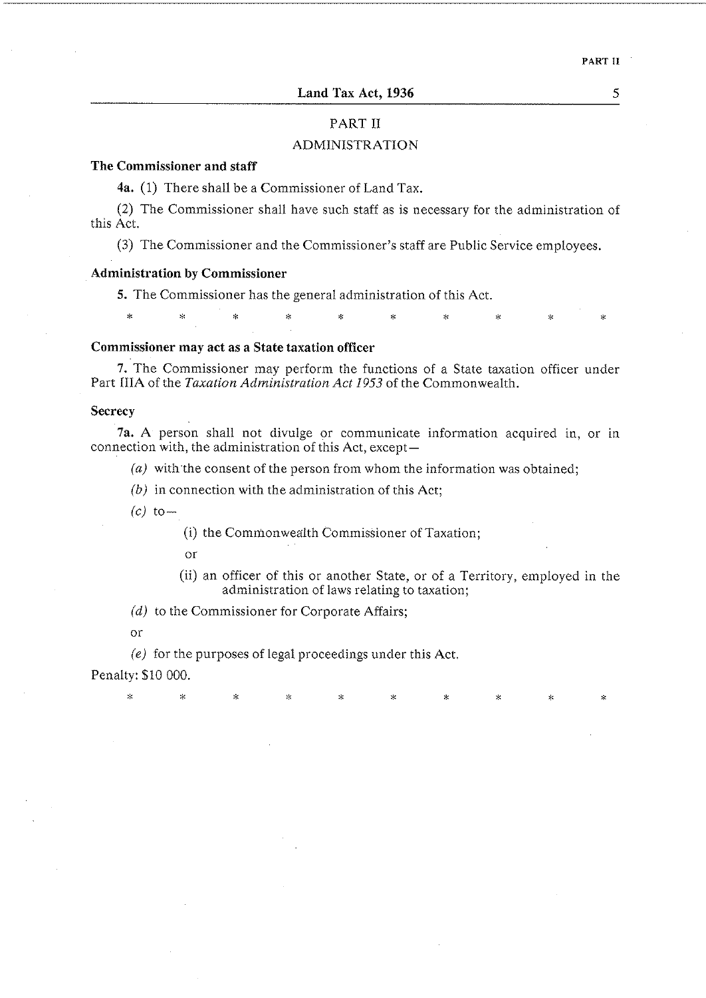## PART I1

## ADMINISTRATION

## **The Commissioner and staff**

**4a.** (1) There shall be a Commissioner of Land Tax.

(2) The Commissioner shall have such staff as is necessary for the administration of this Act.

**(3)** The Commissioner and the Commissioner's staff are Public Service employees.

## **Administration by Commissioner**

5. The Commissioner has the general administration of this Act.

i.

#### **Commissioner may act as a State taxation officer**

**7.** The Commissioner may perform the functions of a State taxation officer under Part IIIA of the *Taxation Administration Act 1953* of the Commonwealth.

## **Secrecy**

**7a. A** person shall not divulge or communicate information acquired in, or in connection with, the administration of this Act, except-

*(a)* with the consent of the person from whom the information was obtained;

*(b)* in connection with the administration of this Act;

 $(c)$  to-

(i) the Commonwealth Commissioner of Taxation;

or

(ii) an officer of this or another State, or of a Territory, employed in the administration of laws relating to taxation;

(d) to the Commissioner for Corporate Affairs;

or

(e) for the purposes of legal proceedings under this Act.

Penalty: \$10 000.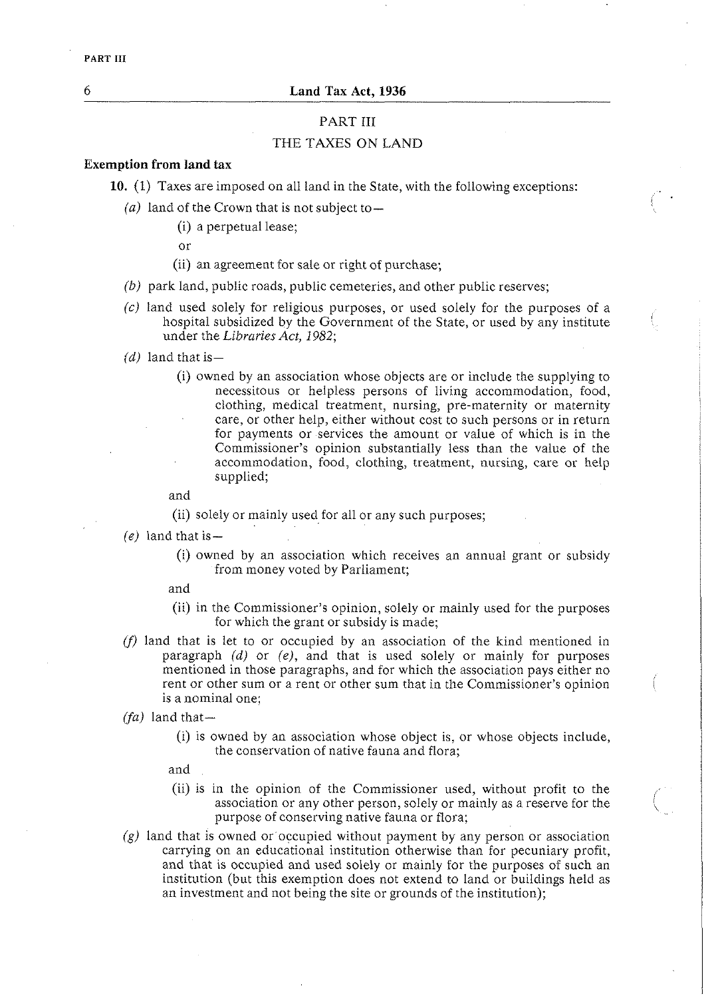## PART III

## THE TAXES ON LAND

## *Exemption from land tax*

**10.** (1) Taxes are imposed on all land in the State, with the following exceptions:

- $(a)$  land of the Crown that is not subject to-
	- (i) a perpetual lease;
	- or
	- (ii) an agreement for sale or right of purchase;
- *(b)* park land, public roads, public cemeteries, and other public reserves;
- $(c)$  land used solely for religious purposes, or used solely for the purposes of a hospital subsidized by the Government of the State, or used by any institute under the *Libraries Act*, 1982;
- $(d)$  land that is -
	- (i) owned by an association whose objects are or include the supplying to necessitous or helpless persons of living accommodation, food, clothing, medical treatment, nursing, pre-maternity or maternity care, or other help, either without cost to such persons or in return for payments or services the amount or value of which is in the Commissioner's opinion substantially less than the value of the accommodation, food, clothing, treatment, nursing, care or help supplied;

and

(ii) solely or mainly used for all or any such purposes;

- $(e)$  land that is
	- (i) owned by an association which receives an annual grant or subsidy from money voted by Parliament;
	- and
	- (ii) in the Commissioner's opinion, solely or mainly used for the purposes for which the grant or subsidy is made;
- **(f)** land that is let to or occupied by an association of the kind mentioned in paragraph (d) or *(e),* and that is used solely or mainly for purposes mentioned in those paragraphs, and for which the association pays either no rent or other sum or a rent or other sum that in the Commissioner's opinion is a nominal one;
- *(fa)* land that-
	- (i) is owned by an association whose object is, or whose objects include, the conservation of native fauna and flora;
	- and
	- (ii) is in the opinion of the Commissioner used, without profit to the association or any other person, solely or mainly as a reserve for the purpose of conserving native fauna or flora;
- $(g)$  land that is owned or occupied without payment by any person or association carrying on an educational institution otherwise than for pecuniary profit, and that is occupied and used solely or mainly for the purposes of such an institution (but this exemption does not extend to land or buildings held as an investment and not being the site or grounds of the institution);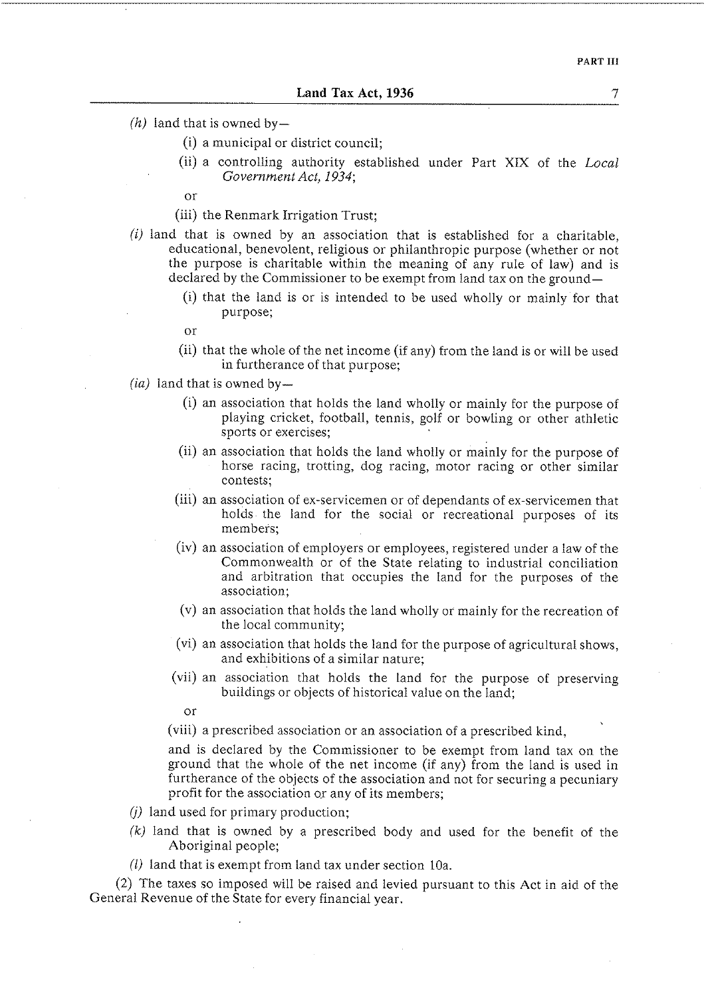- $(h)$  land that is owned by-
	- (i) a municipal or district council;
	- (ii) a controlling authority established under Part XIX of the *Local Government Act, 1934;*

or

(iii) the Renmark Irrigation Trust:

- *(i)* land that is owned by an association that is established for a charitable, educational, benevolent, religious or philanthropic purpose (whether or not the purpose is charitable within the meaning of any rule of law) and is declared by the Commissioner to be exempt from land tax on the ground-
	- (i) that the land is or is intended to be used wholly or mainly for that purpose;
	- or
	- (ii) that the whole of the net income (if any) from the land is or will be used in furtherance of that purpose;
- $(ia)$  land that is owned by-
	- (i) an association that holds the land wholly or mainly for the purpose of playing cricket, football, tennis, golf or bowling or other athletic sports or exercises;
	- (ii) an association that holds the land wholly or mainly for the purpose of horse racing, trotting, dog racing, motor racing or other similar contests;
	- (iii) an association of ex-servicemen or of dependants of ex-servicemen that holds the land for the social or recreational purposes of its members;
	- (iv) an association of employers or employees, registered under a law of the Commonwealth or of the State relating to industrial conciliation and arbitration that occupies the land for the purposes of the association;
	- (v) an association that holds the land wholly or mainly for the recreation of the local community;
	- (vi) an association that holds the land for the purpose of agricultural shows, and exhibitions of a similar nature;
	- (vii) an association that holds the land for the purpose of preserving buildings or objects of historical value on the land;

or

(viii) a prescribed association or an association of a prescribed kind,

and is declared by the Commissioner to be exempt from land tax on the ground that the whole of the net income (if any) from the land is used in furtherance of the objects of the association and not for securing a pecuniary profit for the association or any of its members;

- $(i)$  land used for primary production;
- *(k)* land that is owned by a prescribed body and used for the benefit of the Aboriginal people;
- (2) land that is exempt from land tax under section 10a.

(2) The taxes so imposed will be raised and levied pursuant to this Act in aid of the General Revenue of the State for every financial year.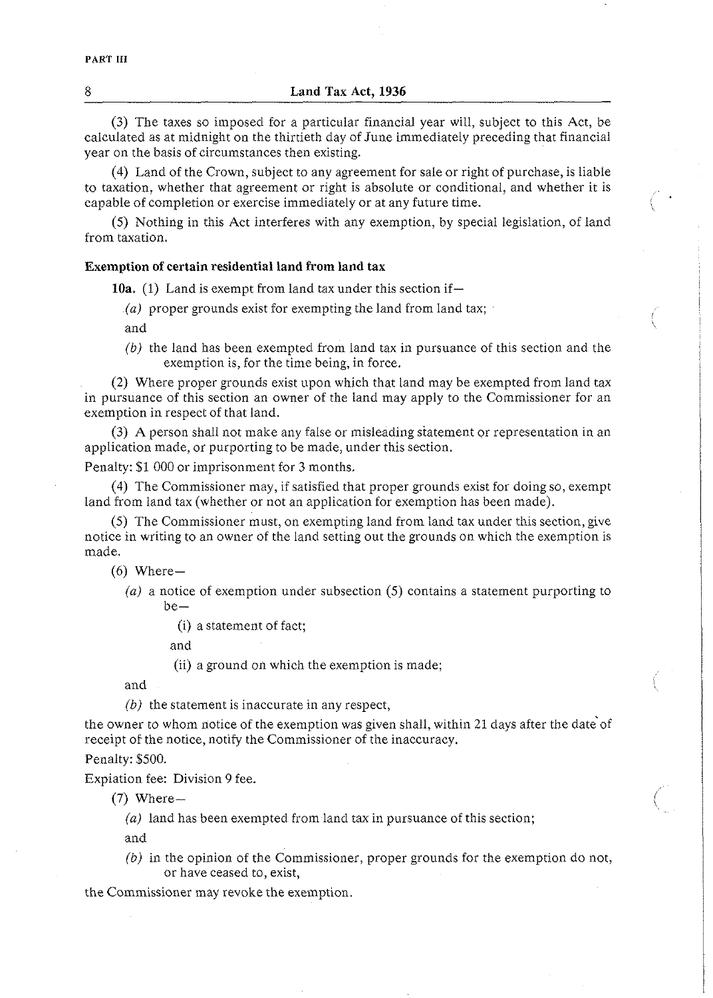(3) The taxes so imposed for a particular financial year will, subject to this Act, be calculated as at midnight on the thirtieth day of June immediately preceding that financial year on the basis of circumstances then existing.

(4) Land of the Crown, subject to any agreement for sale or right of purchase, is liable to taxation, whether that agreement or right is absolute or conditional, and whether it is capable of completion or exercise immediately or at any future time. <sup>1</sup>

(5) Nothing in this Act interferes with any exemption, by special legislation, of land from taxation.

## **Exemption of certain residential land from land tax**

**10a.** (1) Land is exempt from land tax under this section if-

*(a)* proper grounds exist for exempting the land from land tax;

and

(b) the land has been exempted from land tax in pursuance of this section and the exemption is, for the time being, in force.

(2) Where proper grounds exist upon which that land may be exempted from land tax in pursuance of this section an owner of the land may apply to the Commissioner for an exemption in respect of that land.

(3) A person shall not make any false or misleading statement or representation in an application made, or purporting to be made, under this section.

Penalty: \$1 000 or imprisonment for **3** months.

(4) The Commissioner may, if satisfied that proper grounds exist for doing so, exempt land from land tax (whether or not an application for exemption has been made).

(5) The Commissioner must, on exempting land from land tax under this section, give notice in writing to an owner of the land setting out the grounds on which the exemption is made.

 $(6)$  Where-

*(a)* a notice of exemption under subsection (5) contains a statement purporting to  $be-$ 

(i) a statement of fact;

and

(ii) a ground on which the exemption is made;

and

*(b)* the statement is inaccurate in any respect,

the owner to whom notice of the exemption was given shall, within 21 days after the date of receipt of the notice, notify the Commissioner of the inaccuracy.

## Penalty: \$500.

Expiation fee: Division 9 fee.

 $(7)$  Where-

*(a)* land has been exempted from land tax in pursuance of this section;

and

*(b)* in the opinion of the Commissioner, proper grounds for the exemption do not, or have ceased to, exist,

the Commissioner may revoke the exemption.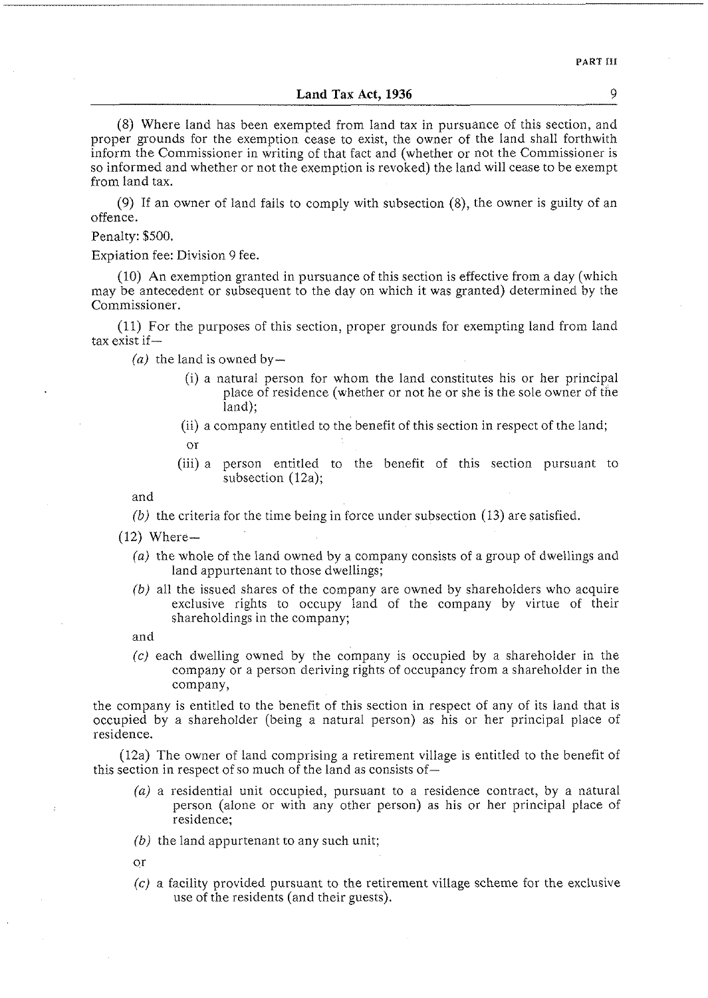## **Land Tax Act, 1936** 9

(8) Where land has been exempted from land tax in pursuance of this section, and proper grounds for the exemption cease to exist, the owner of the land shall forthwith inform the Commissioner in writing of that fact and (whether or not the Commissioner is so informed and whether or not the exemption is revoked) the land will cease to be exempt from land tax.

(9) If an owner of land fails to comply with subsection (8), the owner is guilty of an offence.

Penalty: \$500.

Expiation fee: Division 9 fee.

(10) An exemption granted in pursuance of this section is effective from a day (which may be antecedent or subsequent to the day on which it was granted) determined by the Commissioner.

(11) For the purposes of this section, proper grounds for exempting land from land tax exist if-

 $(a)$  the land is owned by-

- (i) a natural person for whom the land constitutes his or her principal place of residence (whether or not he or she is the sole owner of the land);
- (ii) a company entitled to the benefit of this section in respect of the land;
	- or
- (iii)a person entitled to the benefit of this section pursuant to subsection (12a);

and

*(bj* the criteria for the time being in force under subsection (13) are satisfied.

 $(12)$  Where-

- *(a)* the whole of the land owned by a company consists of a group of dwellings and land appurtenant to those dwellings;
- *(b)* all the issued shares of the company are owned by shareholders who acquire exclusive rights to occupy land of the company by virtue of their shareholdings in the company;

and

*(c)* each dwelling owned by the company is occupied by a shareholder in the company or a person deriving rights of occupancy from a shareholder in the company,

the company is entitled to the benefit of this section in respect of any of its land that is occupied by a shareholder (being a natural person) as his or her principal place of residence.

 $(12a)$  The owner of land comprising a retirement village is entitled to the benefit of this section in respect of so much of the land as consists of-

- *(aj* a residential unit occupied, pursuant to a residence contract, by a natural person (alone or with any other person) as his or her principal place of residence;
- (b) the land appurtenant to any such unit;

or

*(cj* a facility provided pursuant to the retirement village scheme for the exclusive use of the residents (and their guests).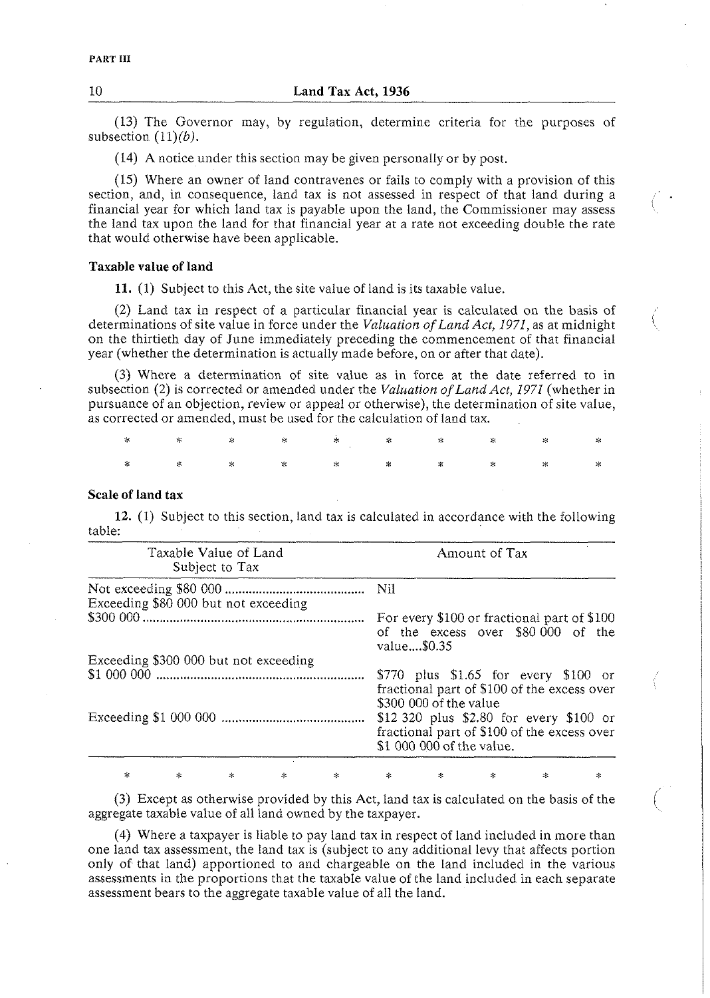(13) The Governor may, by regulation, determine criteria for the purposes of subsection  $(11)(b)$ .

(14) A notice under this section may be given personally or by post.

(15) Where an owner of land contravenes or fails to comply with a provision of this section, and, in consequence, land tax is not assessed in respect of that land during a financial year for which land tax is payable upon the land, the Commissioner may assess the land tax upon the land for that financial year at a rate not exceeding double the rate that would otherwise have been applicable.

#### **Taxable value of land**

**11.** (1) Subject to this Act, the site value of land is its taxable value.

(2) Land tax in respect of a particular financial year is calculated on the basis of determinations of site value in force under the *Valuation of Land Act, 1971,* as at midnight I on the thirtieth day of June immediately preceding the commencement of that financial year (whether the determination is actually made before, on or after that date).

(3) Where a determination of site value as in force at the date referred to in subsection (2) is corrected or amended under the *Valuation ofLand Act, 1971* (whether in pursuance of an objection, review or appeal or otherwise), the determination of site value, as corrected or amended, must be used for the calculation of land tax.

## **Scale of land tax**

**12.** (1) Subject to this section, land tax is calculated in accordance with the following table:

| Taxable Value of Land<br>Subject to Tax | Amount of Tax                                                                                                       |
|-----------------------------------------|---------------------------------------------------------------------------------------------------------------------|
| Exceeding \$80 000 but not exceeding    |                                                                                                                     |
|                                         | For every \$100 or fractional part of \$100<br>of the excess over \$80 000 of the<br>value\$0.35                    |
| Exceeding \$300 000 but not exceeding   |                                                                                                                     |
|                                         | $$770$ plus $$1.65$ for every $$100$ or<br>fractional part of \$100 of the excess over<br>\$300 000 of the value    |
|                                         | \$12 320 plus \$2.80 for every \$100 or<br>fractional part of \$100 of the excess over<br>\$1 000 000 of the value. |

(3) Except as otherwise provided by this Act, land tax is calculated on the basis of the aggregate taxable value of all land owned by the taxpayer.

 $\hat{C}$ 

(4) Where a taxpayer is liable to pay land tax in respect of land included in more than one land tax assessment, the land tax is (subject to any additional levy that affects portion only of that land) apportioned to and chargeable on the land included in the various assessments in the proportions that the taxable value of the land included in each separate assessment bears to the aggregate taxable value of all the land.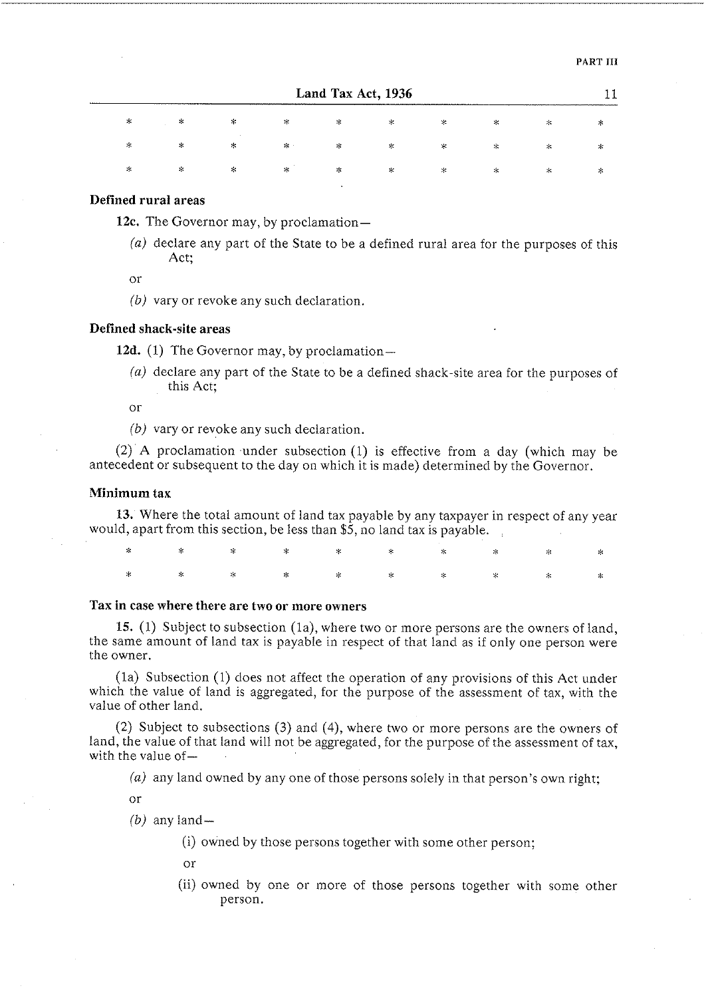|    | Land Tax Act, 1936<br>---------------------------------- |   |        |   |           |            |   |                       |   |  |  |  |
|----|----------------------------------------------------------|---|--------|---|-----------|------------|---|-----------------------|---|--|--|--|
| *  | $\gg$                                                    | * | 家      | ⋇ | $\sim$    | ×          | × | $\mathcal{H}_\bullet$ |   |  |  |  |
| ∗  | $\!\times\!$                                             | * | $\ast$ | ∗ | ×         | ⋇          | * | $\ast$                |   |  |  |  |
| л. | $\lesssim$                                               | ∗ | ∗      | ⋇ | $\approx$ | $^{\star}$ | * | ×                     | ∽ |  |  |  |

#### **Defined rural areas**

12c. The Governor may, by proclamation—

*(a)* declare any part of the State to be a defined rural area for the purposes of this Act;

or

*(b)* vary or revoke any such declaration.

## **Defined shack-site areas**

12d. (1) The Governor may, by proclamation-

*(a)* declare any part of the State to be a defined shack-site area for the purposes of this Act;

or

*(b)* vary or revoke any such declaration.

(2) A proclamation under subsection (1) is effective from a day (which may be antecedent or subsequent to the day on which it is made) determined by the Governor.

#### **Minimum tax**

**13.** Where the total amount of land tax payable by any taxpayer in respect of any year would, apart from this section, be less than \$5, no land tax is payable.

|  |  |  |  | $\begin{array}{ccccccccccccccccccccc} \ast & \times & \times & \times & \times & \times & \times & \times & \times & \times & \times \end{array}$ |  |
|--|--|--|--|---------------------------------------------------------------------------------------------------------------------------------------------------|--|
|  |  |  |  | $\begin{array}{ccccccccccccccccccccc} * & * & * & * & * & * & * & * & * & * & * & * \end{array}$                                                  |  |

## **Tax in case where there are two or more owners**

**15. (1)** Subject to subsection (la), where two or more persons are the owners of land, the same amount of land tax is payable in respect of that land as if only one person were the owner.

(la) Subsection (1) does not affect the operation of any provisions of this Act under which the value of land is aggregated, for the purpose of the assessment of tax, with the value of other land.

(2) Subject to subsections (3) and (4), where two or more persons are the owners of land, the value of that land will not be aggregated, for the purpose of the assessment of tax, with the value of-

*(a)* any land owned by any one of those persons solely in that person's own right;

or

 $(b)$  any land-

(i) owned by those persons together with some other person;

or

(ii) owned by one or more of those persons together with some other person.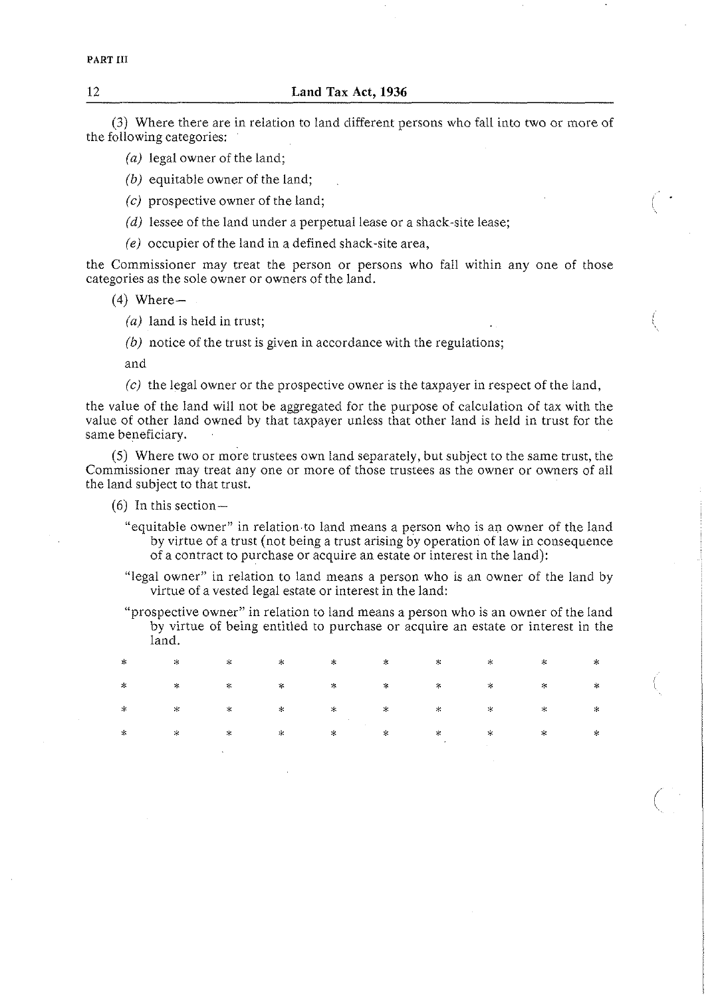(3) Where there are in relation to land different persons who fall into two or more of the following categories:

- (a) legal owner of the land;
- *(b)* equitable owner of the land;
- *(c)* prospective owner of the land;
- $(d)$  lessee of the land under a perpetual lease or a shack-site lease;
- *(e)* occupier of the land in a defined shack-site area,

the Commissioner may treat the person or persons who fall within any one of those categories as the sole owner or owners of the land.

- $(4)$  Where  $-$ 
	- (a) land is held in trust;
	- *(b)* notice of the trust is given in accordance with the regulations;

and

*(c)* the legal owner or the prospective owner is the taxpayer in respect of the land,

the value of the land will not be aggregated for the purpose of calculation of tax with the value of other land owned by that taxpayer unless that other land is held in trust for the same beneficiary.

(5) Where two or more trustees own land separately, but subject to the same trust, the Commissioner may treat any one or more of those trustees as the owner or owners of all the land subject to that trust.

- $(6)$  In this section-
	- "equitable owner" in relation to land means a person who is an owner of the land by virtue of a trust (not being a trust arising by operation of law in consequence of a contract to purchase or acquire an estate or interest in the land):
	- "legal owner" in relation to land means a person who is an owner of the land by virtue of a vested legal estate or interest in the land:
	- "prospective owner" in relation to land means a person who is an owner of the land by virtue of being entitled to purchase or acquire an estate or interest in the i \* **C C** \* **:i** i **C** \* *I;* land.

|  |  |  |  | $\begin{array}{ccccccccccccccccccccccccccccc} \ast & \times & \times & \times & \times & \times & \times & \times & \times & \times & \times \end{array}$ |  |
|--|--|--|--|-----------------------------------------------------------------------------------------------------------------------------------------------------------|--|
|  |  |  |  |                                                                                                                                                           |  |

12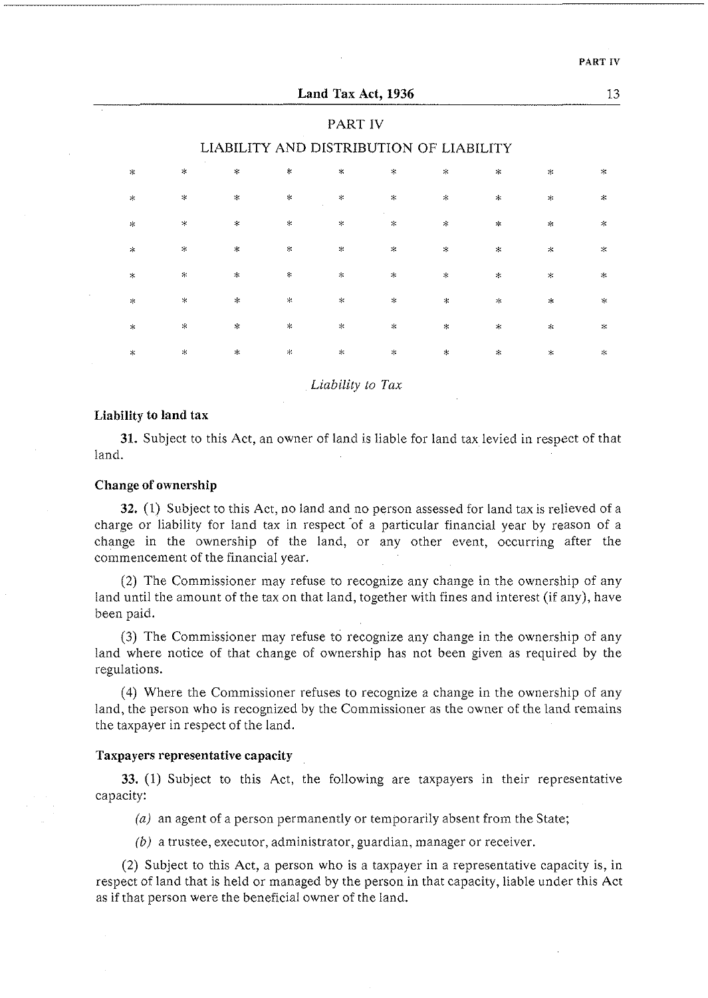|                                         |               |               |                | Land Tax Act, 1936 |            |            |                    |               | 13           |  |  |  |  |
|-----------------------------------------|---------------|---------------|----------------|--------------------|------------|------------|--------------------|---------------|--------------|--|--|--|--|
| PART IV                                 |               |               |                |                    |            |            |                    |               |              |  |  |  |  |
| LIABILITY AND DISTRIBUTION OF LIABILITY |               |               |                |                    |            |            |                    |               |              |  |  |  |  |
| $\mathbf{x}$                            | $\ast$        | $\mathcal{L}$ | $\approx$      | $\lesssim$         | $\lesssim$ | $\leq$     | $\lesssim$         | $\approx$     | $\star$      |  |  |  |  |
| $\sim$                                  | $\star$       | $\mathcal{M}$ | $\lesssim$     | $\mathcal{R}$      | \$г        | $\star$    | $\star$            | $\sim$        | $\sim$       |  |  |  |  |
| $\star$                                 | $\times$      | $\!\times\!$  | $\pm$          | $\mathcal{N}$      | *          | ∗          | $\star$            | $\lesssim$    | $\geq$       |  |  |  |  |
| $\frac{1}{2}$                           | $\geq$        | $\mathcal{H}$ | $\lesssim$     | $\mathbf{x}$       | $\lesssim$ | $\lesssim$ | $\mathbf{x}$       | 氺             | $\mathbf{x}$ |  |  |  |  |
| $\star$                                 | $\mathcal{R}$ | $\mathcal{H}$ | $\mathcal{H}$  | $\chi$             | $\star$    | *          | $\prec$            | $\chi$        | $\lesssim$   |  |  |  |  |
| $\pm$                                   | $\ast$        | $\geq$        | $\mathbb{R}^d$ | $\star$            | $\star$    | ∗          | $\approx$          | $\star$       | $\star$      |  |  |  |  |
| $\lesssim$                              | $\lesssim$    | $\lesssim$    | $\mathbf{x}_i$ | $\mathbf{x}$       | $\ast$     | $\approx$  | $\dot{\mathbf{x}}$ | $\ddot{\ast}$ | $\lesssim$   |  |  |  |  |
| $\ast$                                  | $\prec$       | $\mathbf{x}$  | $\mathbb{R}$   | $\propto$          | $\ast$     | $\ast$     | $\propto$          | $\ast$        | $\propto$    |  |  |  |  |
|                                         |               |               |                |                    |            |            |                    |               |              |  |  |  |  |

*Liability to Tax* 

#### **Liability to land tax**

**31.** Subject to this Act, an owner of land is liable for land tax levied in respect of that land.

## **Change of ownership**

**32.** (1) Subject to this Act, no land and no person assessed for land tax is relieved of a charge or liability for land tax in respect of a particular financial year by reason of a change in the ownership of the land, or any other event, occurring after the commencement of the financial year.

(2) The Commissioner may refuse to recognize any change in the ownership of any land until the amount of the tax on that land, together with fines and interest (if any), have been paid.

(3) The Commissioner may refuse to recognize any change in the ownership of any land where notice of that change of ownership has not been given as required by the regulations.

(4) Where the Commissioner refuses to recognize a change in the ownership of any land, the person who is recognized by the Commissioner as the owner of the land remains the taxpayer in respect of the land.

#### **Taxpayers representative capacity**

**33.** (1) Subject to this Act, the following are taxpayers in their representative capacity:

(a) an agent of a person permanently or temporarily absent from the State;

(b) a trustee, executor, administrator, guardian, manager or receiver.

(2) Subject to this Act, a person who is a taxpayer in a representative capacity is, in respect of land that is held or managed by the person in that capacity, liable under this Act as if that person were the beneficial owner of the land.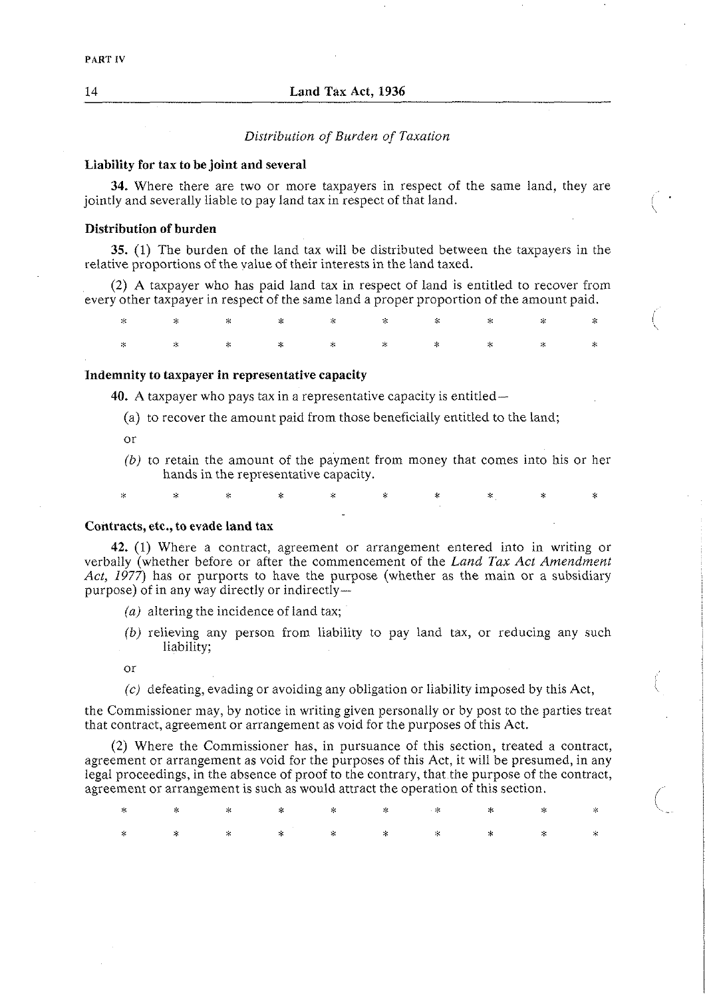#### *Distribution of Burden of Taxation*

#### **Liability for tax to be joint and several**

**34.** Where there are two or more taxpayers in respect of the same land, they are jointly and severally liable to pay land tax in respect of that land.

 $\left($ 

#### **Distribution of burden**

**35.** (1) The burden of the land tax will be distributed between the taxpayers in the relative proportions of the value of their interests in the land taxed.

(2) A taxpayer who has paid land tax in respect of land is entitled to recover from every other taxpayer in respect of the same land a proper proportion of the amount paid.

\* \* \* \* \* \* :\* \* **X** \*

#### **Indemnity to taxpayer in representative capacity**

**40.** A taxpayer who pays tax in a representative capacity is entitled-

 $\star$ 

- (a) to recover the amount paid from those beneficially entitled to the land;
- or
- *(b)* to retain the amount of the payment from money that comes into his or her hands in the representative capacity.

**Contracts, etc., to evade land tax** 

ż

**42.** (1) Where a contract, agreement or arrangement entered into in writing or verbally (whether before or after the commencement of the *Land Tax Act Amendment Act, 1977)* has or purports to have the purpose (whether as the main or a subsidiary purpose) of in any way directly or indirectly-

- *(a)* altering the incidence of land tax;
- *(b)* relieving any person from liability to pay land tax, or reducing any such liability;

or

*(c)* defeating, evading or avoiding any obligation or liability imposed by this Act,

the Commissioner may, by notice in writing given personally or by post to the parties treat that contract, agreement or arrangement as void for the purposes of this Act.

(2) Where the Commissioner has, in pursuance of this section, treated a contract, agreement or arrangement as void for the purposes of this Act, it will be presumed, in any legal proceedings, in the absence of proof to the contrary, that the purpose of the contract, agreement or arrangement is such as would attract the operation of this section.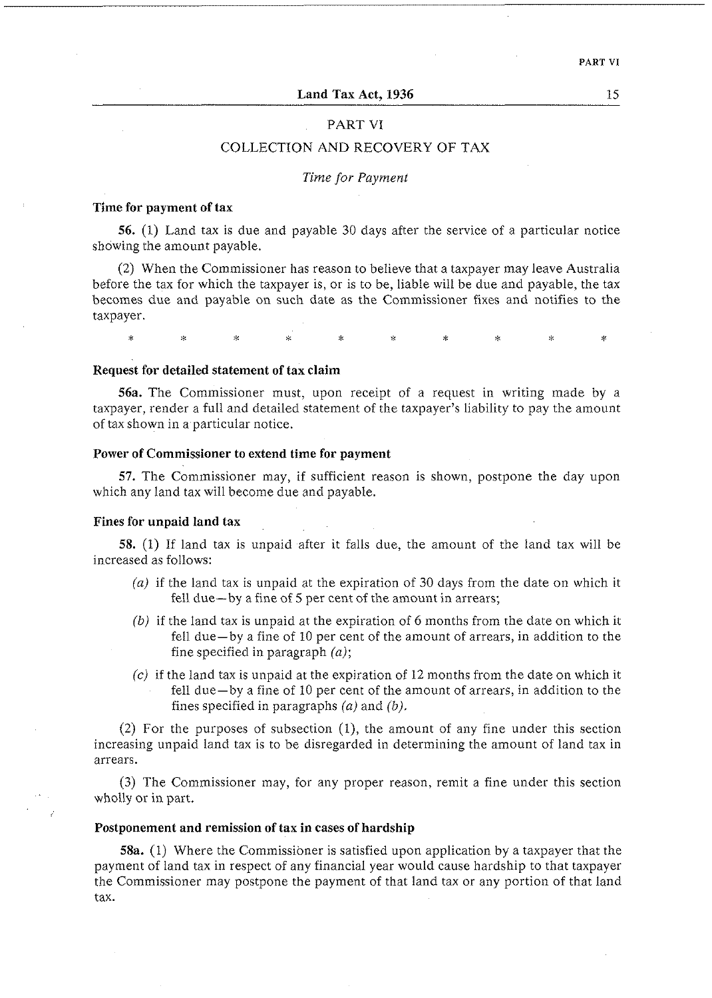## PART VI

## COLLECTION AND RECOVERY OF TAX

## *Time for Payment*

## **Time for payment of tax**

**56.** (1) Land tax is due and payable 30 days after the service of a particular notice showing the amount payable.

(2) When the Commissioner has reason to believe that a taxpayer may leave Australia before the tax for which the taxpayer is, or is to be, liable will be due and payable, the tax becomes due and payable on such date as the Commissioner fixes and notifies to the taxpayer.

 $\star$ ý.

#### **Request for detailed statement of tax claim**

**56a.** The Commissioner must, upon receipt of a request in writing made by a taxpayer, render a full and detailed statement of the taxpayer's liability to pay the amount of tax shown in a particular notice.

## **Power of Commissioner to extend time for payment**

**57.** The Commissioner may, if sufficient reason is shown, postpone the day upon which any land tax will become due and payable.

#### **Fines for unpaid land tax**

**58.** (1) If land tax is unpaid after it falls due, the amount of the land tax will be increased as follows:

- *(a)* if the land tax is unpaid at the expiration of 30 days from the date on which it fell due—by a fine of 5 per cent of the amount in arrears;
- (b) if the land tax is unpaid at the expiration of 6 months from the date on which it fell due-by a fine of 10 per cent of the amount of arrears, in addition to the fine specified in paragraph  $(a)$ ;
- $(c)$  if the land tax is unpaid at the expiration of 12 months from the date on which it fell due-by a fine of 10 per cent of the amount of arrears, in addition to the fines specified in paragraphs *(a)* and (b).

(2) For the purposes of subsection (I), the amount of any fine under this section increasing unpaid land tax is to be disregarded in determining the amount of land tax in arrears.

(3) The Commissioner may, for any proper reason, remit a fine under this section wholly or in part.

## **Postponement and remission of tax in cases of hardship**

**58a.** (1) Where the Commissioner is satisfied upon application by a taxpayer that the payment of land tax in respect of any financial year would cause hardship to that taxpayer the Commissioner may postpone the payment of that land tax or any portion of that land tax.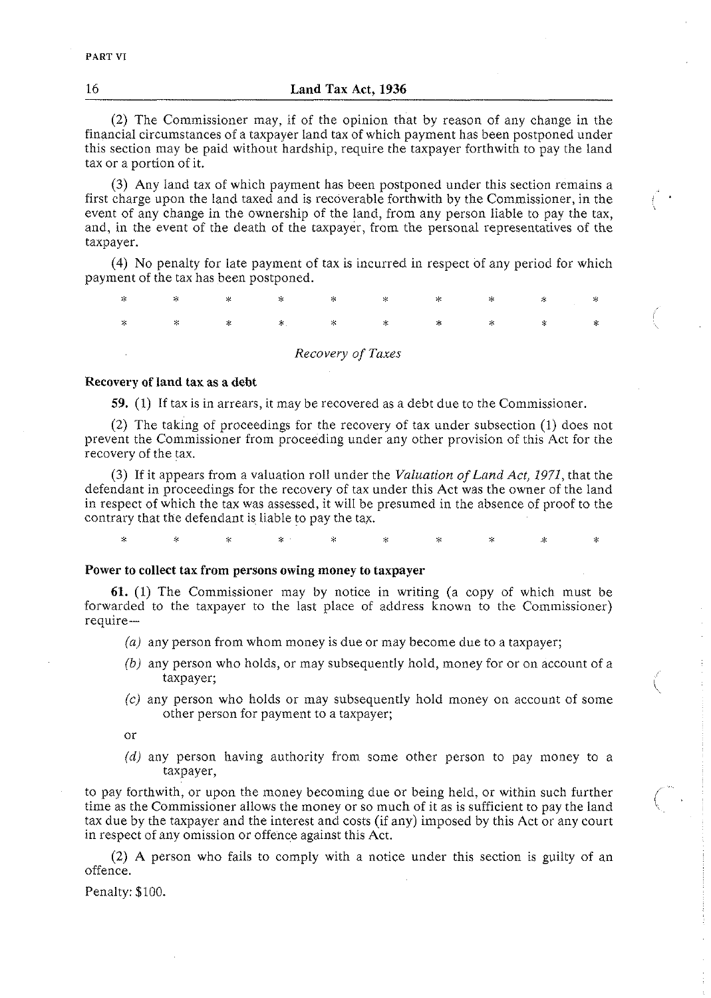(2) The Commissioner may, if of the opinion that by reason of any change in the financial circumstances of a taxpayer land tax of which payment has been postponed under this section may be paid without hardship, require the taxpayer forthwith to pay the land tax or a portion of it.

(3) Any land tax of which payment has been postponed under this section remains a first charge upon the land taxed and is recoverable forthwith by the Commissioner, in the event of any change in the ownership of the land, from any person liable to pay the tax, and, in the event of the death of the taxpayer, from the personal representatives of the taxpayer.

(4) No penalty for late payment of tax is incurred in respect of any period for which payment of the tax has been postponed.

| ∗      | $\mathbb{R}^n$ | $\mathbb{R}$ | $\ast$ | ∗                 | $\sim$  | ∗      | * | 岑 | ⋇ |
|--------|----------------|--------------|--------|-------------------|---------|--------|---|---|---|
| $\ast$ | ∗              | -88          | *.     | ⋇                 | $\cdot$ | $\ast$ | × | ⋇ | ⋇ |
|        |                |              |        | Recovery of Taxes |         |        |   |   |   |

### *Recovery of land tax* **as** *a debt*

59. (1) If tax is in arrears, it may be recovered as a debt due to the Commissioner.

(2) The taking of proceedings for the recovery of tax under subsection (1) does not prevent the Commissioner from proceeding under any other provision of this Act for the recovery of the tax.

(3) If it appears from a valuation roll under the *Valuation of Land Act, 1971,* that the defendant in proceedings for the recovery of tax under this Act was the owner of the land in respect of which the tax was assessed, it will be presumed in the absence of proof to the contrary that the defendant is liable to pay the tax.

> Q.  $\mathbf{x}$

#### *Power to collect tax* **from** *persons owing money to taxpayer*

**61.** (1) The Commissioner may by notice in writing (a copy of which must be forwarded to the taxpayer to the last place of address known to the Commissioner) require-

- *(a)* any person from whom money is due or may become due to a taxpayer;
- (b) any person who holds, or may subsequently hold, money for or on account of a taxpayer;
- $(c)$  any person who holds or may subsequently hold money on account of some other person for payment to a taxpayer;

or

 $\star$ 

*(d)* any person having authority from some other person to pay money to a taxpayer,

to pay forthwith, or upon the money becoming due or being held, or within such further time as the Commissioner allows the money or so much of it as is sufficient to pay the land tax due by the taxpayer and the interest and costs (if any) imposed by this Act or any court in respect of any omission or offence against this Act.

(2) A person who fails to comply with a notice under this section is guilty of an offence.

Penalty: \$100.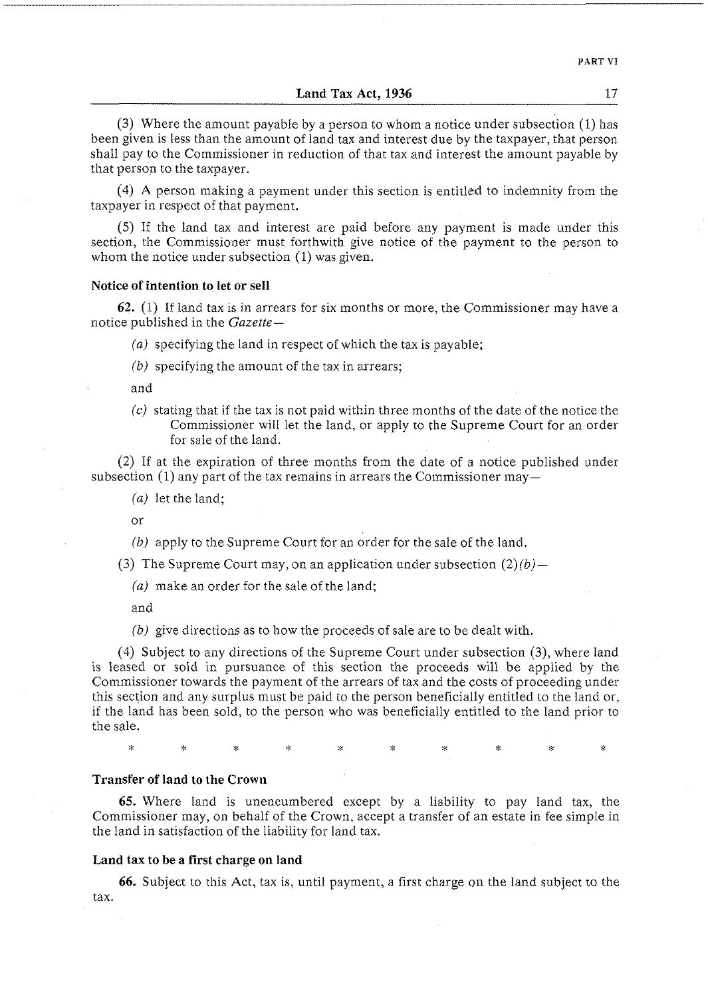*(3)* Where the amount payable by a person to whom a notice under subsection (1) has been given is less than the amount of land tax and interest due by the taxpayer, that person shall pay to the Commissioner in reduction of that tax and interest the amount payable by that person to the taxpayer.

*(4) A* person making a payment under this section is entitled to indemnity from the taxpayer in respect of that payment.

(5) If the land tax and interest are paid before any payment is made under this section, the Commissioner must forthwith give notice of the payment to the person to whom the notice under subsection *(1)* was given.

#### **Notice of intention to let or sell**

**62.** (1) If land tax is in arrears for six months or more, the Commissioner may have a notice published in the *Gazette-* 

- *(a)* specifying the land in respect of which the tax is payable;
- *(b)* specifying the amount of the tax in arrears;

and

(c) stating that if the tax is not paid within three months of the date of the notice the Commissioner will let the land, or apply to the Supreme Court for an order for sale of the land.

*(2)* If at the expiration of three months from the date of a notice published under subsection (1) any part of the tax remains in arrears the Commissioner may-

(a) let the land;

or

- *(b)* apply to the Supreme Court for an order for the sale of the land.
- (3) The Supreme Court may, on an application under subsection  $(2)(b)$ -
	- *(a)* make an order for the sale of the land;

and

*(b)* give directions as to how the proceeds of sale are to be dealt with.

*(4)* Subject to any directions of the Supreme Court under subsection **(3),** where land is leased or sold in pursuance of this section the proceeds will be applied by the Commissioner towards the payment of the arrears of tax and the costs of proceeding under this section and any surplus must be paid to the person beneficially entitled to the land or, if the land has been sold, to the person who was beneficially entitled to the land prior to the sale.

#### **Transfer of land to the Crown**

**65.** Where land is unencumbered except by a liability to pay land tax, the Commissioner may, on behalf of the Crown, accept a transfer of an estate in fee simple in the land in satisfaction of the liability for land tax.

## **Land tax to be a first charge on land**

**66.** Subject to this Act, tax is, until payment, a first charge on the land subject to the tax.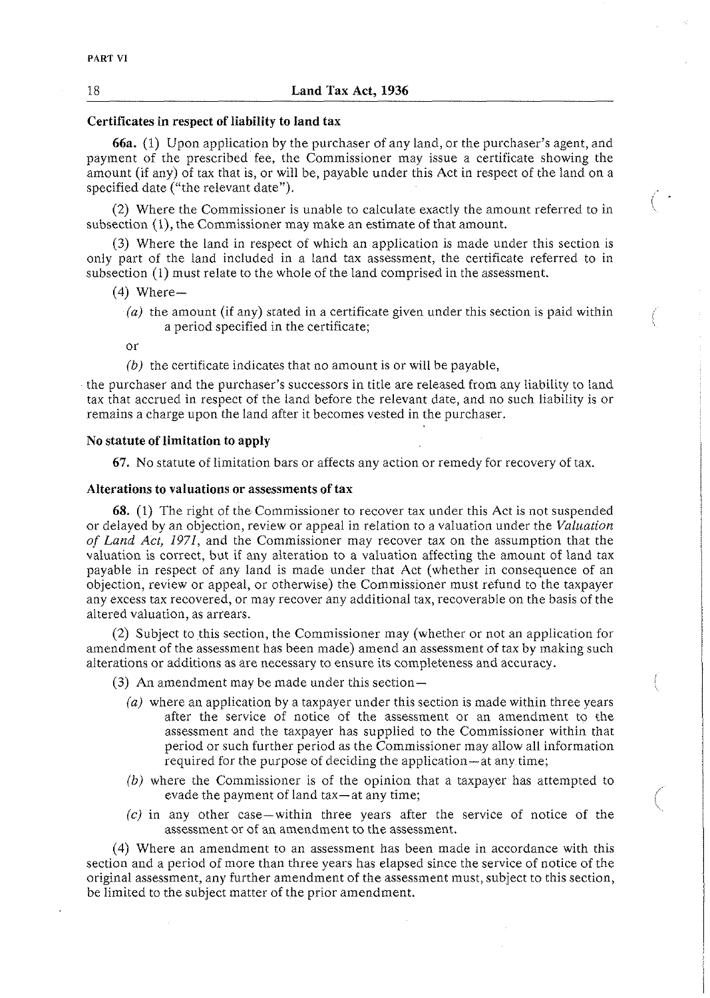## **Certificates in respect of liability to land tax**

**66a.** (1) Upon application by the purchaser of any land, or the purchaser's agent, and payment of the prescribed fee, the Commissioner may issue a certificate showing the amount (if any) of tax that is, or will be, payable under this Act in respect of the land on a specified date ("the relevant date").

(2) Where the Commissioner is unable to calculate exactly the amount referred to in subsection (I), the Commissioner may make an estimate of that amount.

 $\left(\begin{array}{c}\right. & \cdot \end{array}$ 

**(3)** Where the land in respect of which an application is made under this section is only part of the land included in a land tax assessment, the certificate referred to in subsection (1) must relate to the whole of the land comprised in the assessment.

- $(4)$  Where-
	- *(a)* the amount (if any) stated in a certificate given under this section is paid within a period specified in the certificate;

or

(b) the certificate indicates that no amount is or will be payable,

the purchaser and the purchaser's successors in title are released from any liability to land tax that accrued in respect of the land before the relevant date, and no such liability is or remains a charge upon the land after it becomes vested in the purchaser.

## **No statute of limitation to apply**

**67.** No statute of limitation bars or affects any action or remedy for recovery of tax.

#### **Alterations to valuations or assessments of tax**

**68.** (1) The right of the Commissioner to recover tax under this Act is not suspended or delayed by an objection, review or appeal in relation to a valuation under the *Valuation of* Land *Act, 1971,* and the Commissioner may recover tax on the assumption that the valuation is correct, but if any alteration to a valuation affecting the amount of land tax payable in respect of any land is made under that Act (whether in consequence of an objection, review or appeal, or otherwise) the Commissioner must refund to the taxpayer any excess tax recovered, or may recover any additional tax, recoverable on the basis of the altered valuation, as arrears.

(2) Subject to this section, the Commissioner may (whether or not an application for amendment of the assessment has been made) amend an assessment of tax by making such alterations or additions as are necessary to ensure its completeness and accuracy.

(3) An amendment may be made under this section-

- *(a)* where an application by a taxpayer under this section is made within three years after the service of notice of the assessment or an amendment to ihe assessment and the taxpayer has supplied to the Commissioner within that period or such further period as the Commissioner may allow all information required for the purpose of deciding the application—at any time;
- *(b)* where the Commissioner is of the opinion that a taxpayer has attempted to evade the payment of land tax—at any time;
- *(c)* in any other case-within three years after the service of notice of the assessment or of an amendment to the assessment.

(4) Where an amendment to an assessment has been made in accordance with this section and a period of more than three years has elapsed since the service of notice of the original assessment, any further amendment of the assessment must, subject to this section, be limited to the subject matter of the prior amendment.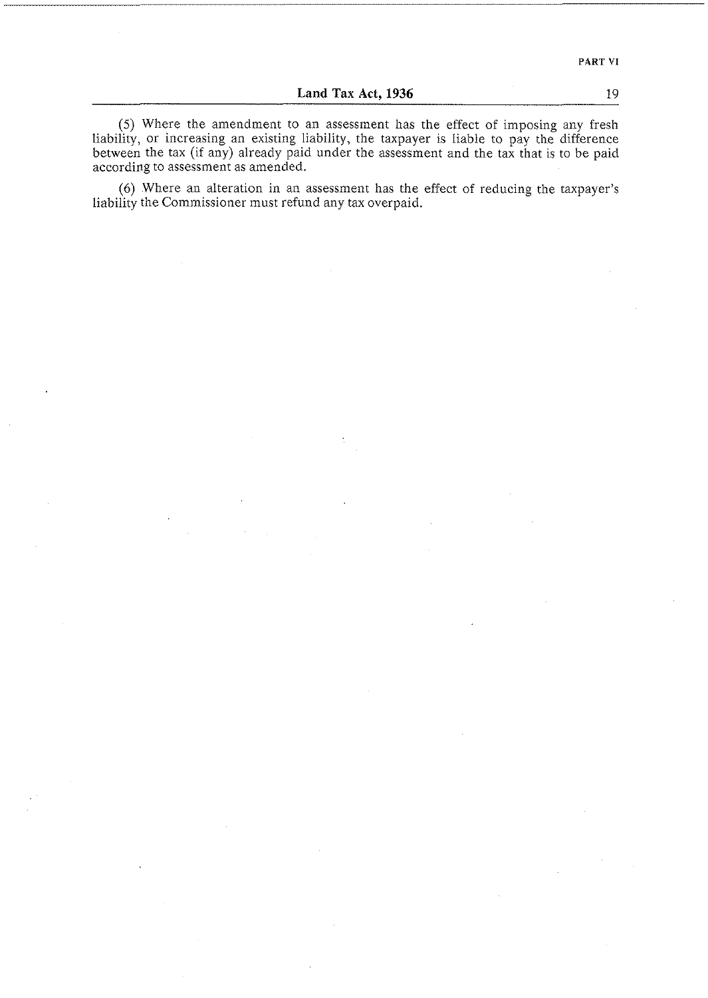(5) Where the amendment to an assessment has the effect of imposing any fresh liability, or increasing an existing liability, the taxpayer is liable to pay the difference between the tax (if any) already paid under the assessment and the tax that is to be paid according to assessment as amended.

(6) Where an alteration in an assessment has the effect of reducing the taxpayer's liability the Commissioner must refund any tax overpaid.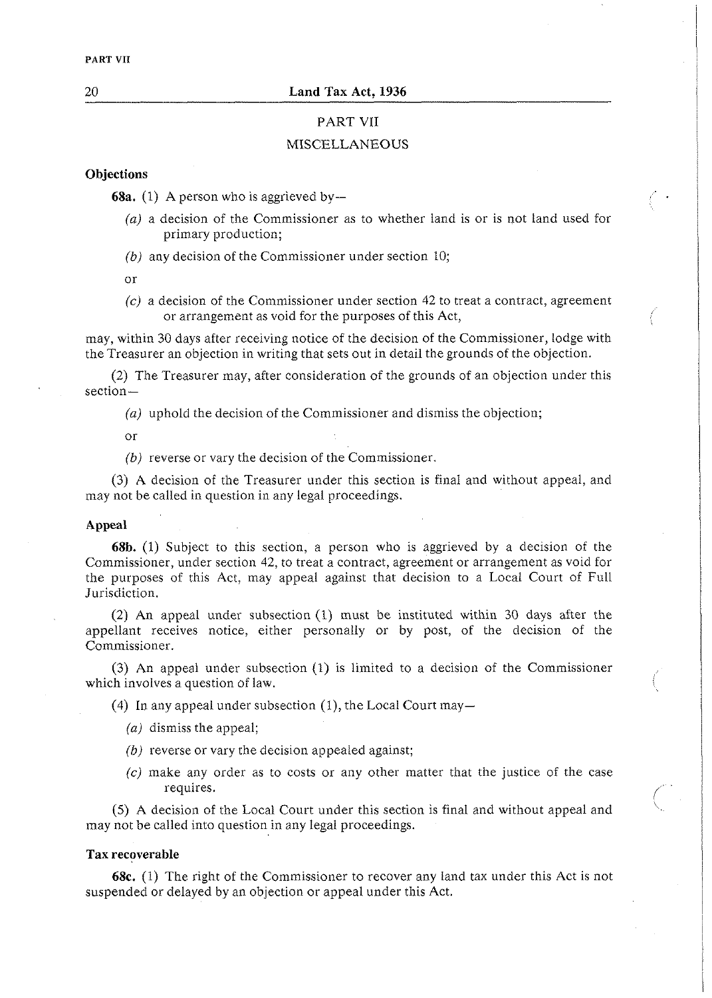## PART VII

### MISCELLANEOUS

## **Objections**

**68a.** (1) A person who is aggrieved by  $-$ 

- (a) a decision of the Commissioner as to whether land is or is not land used for primary production;
- *(b)* any decision of the Commissioner under section 10;

or

*(c)* a decision of the Commissioner under section 42 to treat a contract, agreement or arrangement as void for the purposes of this Act,

may, within 30 days after receiving notice of the decision of the Commissioner, lodge with the Treasurer an objection in writing that sets out in detail the grounds of the objection.

(2) The Treasurer may, after consideration of the grounds of an objection under this section-

*(a)* uphold the decision of the Commissioner and dismiss the objection;

or

*(b)* reverse or vary the decision of the Commissioner.

(3) A decision of the Treasurer under this section is final and without appeal, and may not be called in question in any legal proceedings.

#### **Appeal**

**68b.** (1) Subject to this section, a person who is aggrieved by a decision of the Commissioner, under section 42, to treat a contract, agreement or arrangement as void for the purposes of this Act, may appeal against that decision to a Local Court of Full Jurisdiction.

(2) An appeal under subsection (1) must be instituted within 30 days after the appellant receives notice, either personally or by post, of the decision of the Commissioner.

(3) An appeal under subsection (1) is limited to a decision of the Commissioner which involves a question of law.

(4) In any appeal under subsection (1), the Local Court may-

- (a) dismiss the appeal;
- *(b)* reverse or vary the decision appealed against;
- $(c)$  make any order as to costs or any other matter that the justice of the case requires.

(5) A decision of the Local Court under this section is final and without appeal and \. may not be called into question in any legal proceedings.

#### **Tax recoverable**

**68c.** (1) The right of the Commissioner to recover any land tax under this Act is not suspended or delayed by an objection or appeal under this Act.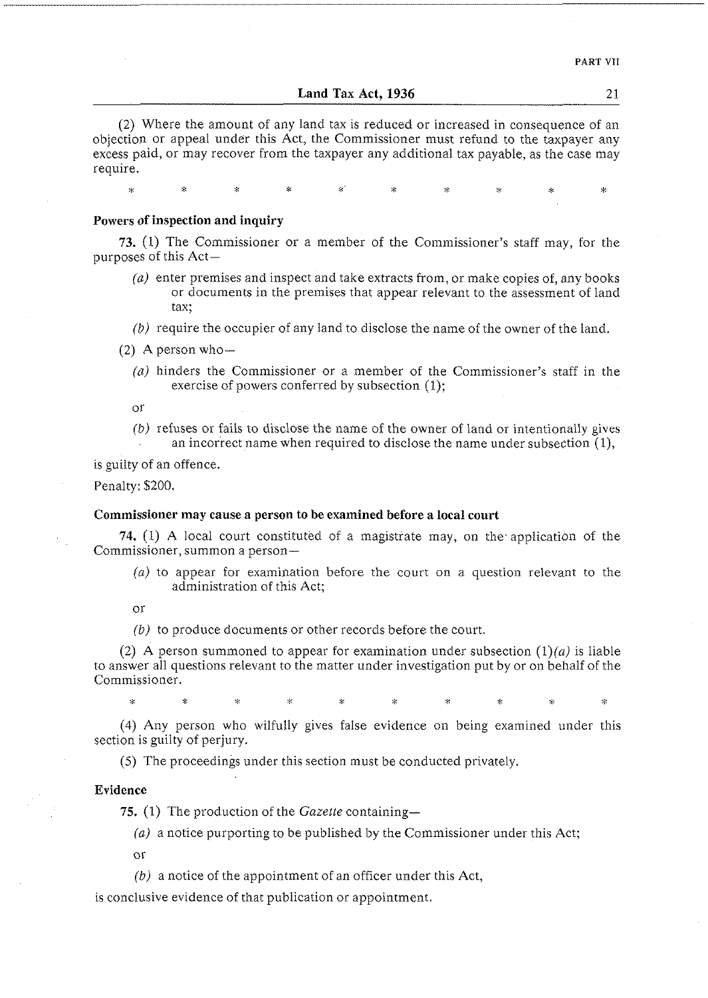(2) Where the amount of any land tax is reduced or increased in consequence of an objection or appeal under this Act, the Commissioner must refund to the taxpayer any excess paid, or may recover from the taxpayer any additional tax payable, as the case may require.

Ċ,

#### **Powers of inspection and inquiry**

**73.** (1) The Commissioner or a member of the Commissioner's staff may, for the purposes of this Act-

- (a) enter premises and inspect and take extracts from, or make copies of, any books or documents in the premises that appear relevant to the assessment of land tax;
- $(b)$  require the occupier of any land to disclose the name of the owner of the land.
- (2) A person who-
	- **((1)** hinders the Commissioner or a member of the Commissioner's staff in the exercise of powers conferred by subsection (1);
	- or
	- $(b)$  refuses or fails to disclose the name of the owner of land or intentionally gives an incorrect name when required to disclose the name under subsection (I),

is guilty of an offence.

Penalty: \$200.

## **Commissioner may cause a person to be examined before a local court**

74. (1) A local court constituted of a magistrate may, on the. application of the Commissioner, summon a person-

(a) to appear for examination before the court on a question relevant to the administration of this Act;

or

š.

 $(b)$  to produce documents or other records before the court.

(2) A person summoned to appear for examination under subsection  $(1)(a)$  is liable to answer all questions relevant to the matter under investigation put by or on behalf of the Commissioner.

s.

(4) Any person who wilfully gives false evidence on being examined under this section is guilty of perjury.

(5) The proceedings under this section must be conducted privately.

## **Evidence**

75. (1) The production of the *Gazette* containing-

(a) a notice purporting to be published by the Commissioner under this Act;

or

 $(b)$  a notice of the appointment of an officer under this Act,

is conclusive evidence of that publication or appointment.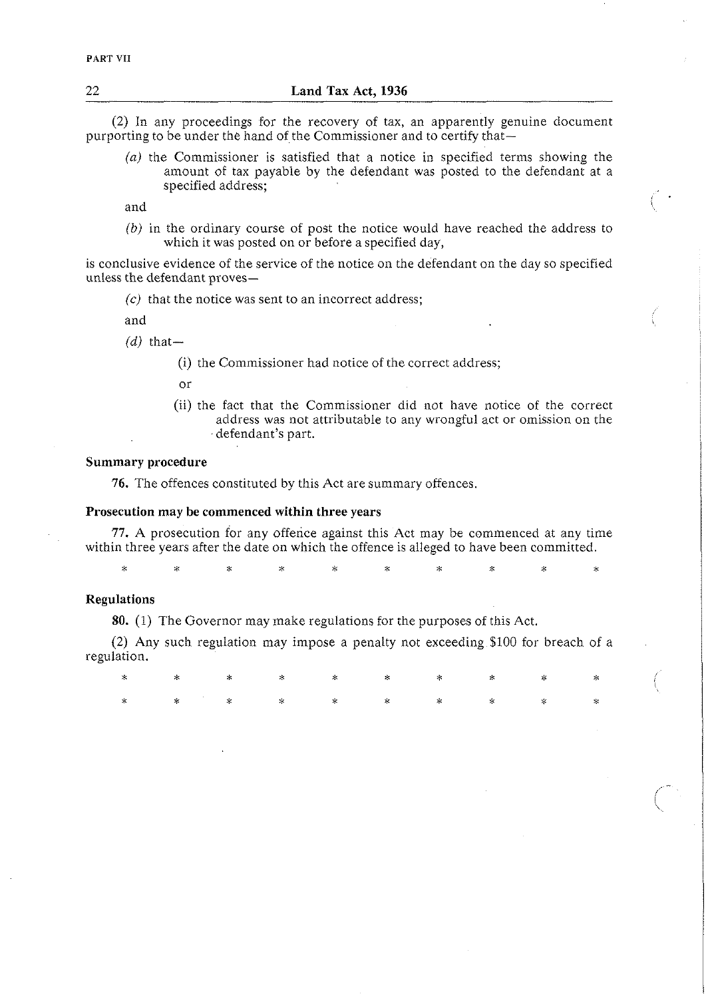(2) In any proceedings for the recovery of tax, an apparently genuine clocument purporting to be under the hand of the Commissioner and to certify that-

(a) the Commissioner is satisfied that a notice in specified terms showing the amount of tax payable by the defendant was posted to the defendant at a specified address; , . and <sup>I</sup>

(b) in the ordinary course of post the notice would have reached the address to which it was posted on or before a specified day,

is conclusive evidence of the service of the notice on the defendant on the day so specified unless the defendant proves-

 $(c)$  that the notice was sent to an incorrect address;

and

 $(d)$  that-

(i) the Commissioner had notice of the correct address;

or

(ii) the fact that the Commissioner did not have notice of the correct address was not attributable to any wrongful act or omission on the defendant's part.

## **Summary procedure**

**76.** The offences constituted by this Act are summary offences.

## **Prosecution may be commenced within three years**

77. A prosecution for any offence against this Act may be commenced at any time within three years after the date on which the offence is alleged to have been committed.

**<sup>X</sup>**\* \* \* \* \* \* \* **<sup>X</sup>**>%

## **Regulations**

**80.** (1) The Governor may make regulations for the purposes of this Act.

(2) Any such regulation may impose a penalty not exceeding \$100 for breach of a regulation.

**X X** \* \* **X** \* **:L** \* :? \* , \* **X** \* \* **X** \* \* :p i\$ \*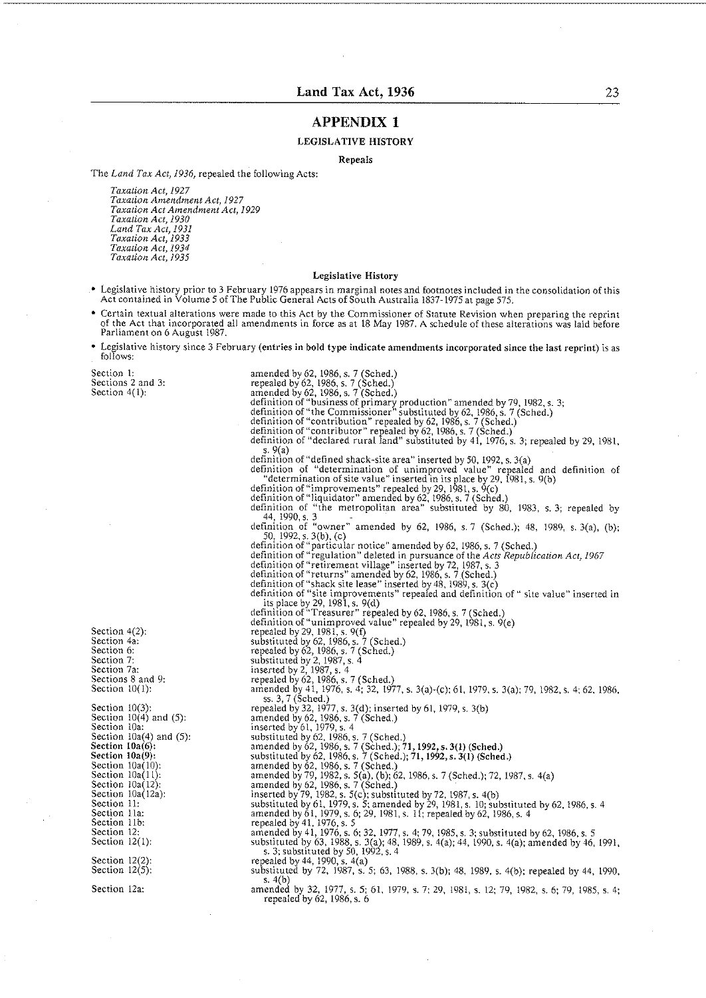#### **Land Tax Act, 1936** 23

#### **APPENDIX 1**

#### LEGISLATIVE HISTORY

Repeals

The *Land Tax Act, 1936,* repealed the following Acts:

*Taxation Act, 1927 Taxarion Amendment Act, 1927 Taxation Act Amendment Act, 1929 Taxation Act, 1930 Land Tar Act, 1931 Taxation Act, 1933 Taxation Acl, 1934 'Taxation Acl, 1935* 

#### Legislative History

- Legislative history prior to 3 February 1976 appears in marginal notes and footnotes inciudcd in the consolidation of this Act contained in Volume 5 of The Public General Actsof South Australia 1837-1975 at page 575.
- Certain textual alterations were made to this Act by the Commissioner of Statute Revision when preparing the reprint of the Act that incorporated all amendments in force as at 18 May 1987. A schedule of these alterations was laid before Parliament on 6 August 1987.
- Legislative history since 3 February (entries in bold type indicate amendments incorporated since the last reprint) is as follows:

Section 1: Sections 2 and 3: Section 4(1):

Section 4(2): Section 4a: Section **h:**  Section 7: Section 7a: Sections 8 and 9: Section  $10(1)$ :

Section  $10(3)$ :<br>Section  $10(4)$  and (5): Section 10a: Section  $10a(4)$  and  $(5)$ : Section  $10a(6)$ : Section  $10a(9)$ : Section  $10a(10)$ Section  $10a(11)$ : Section  $10a(12)$ :<br>Section  $10a(12a)$ : Section 11: Section 11a: Section 11b: Section 12: Section  $12(1)$ :

Section  $12(2)$ :<br>Section  $12(5)$ :

Section 12a:

- amended by 62. 1986,s. 7 (Sched.) repealed by 62. 1986. s. 7 (Sched.) amended by 62. 1986. s. 7 (Sched.) definition of "business of primary production" amended by 79, 1982, s. 3;<br>definition of "the Commissioner" substituted by 62, 1986, s. 7 (Sched.)<br>definition of "contribution" repealed by 62, 1986, s. 7 (Sched.) definition of "contributor" repealed by 62. 1986. s. 7 (Sched.) definition of "declared rural land" substituted by 41, 1976, s. 3; repealed by 29. 1981. nom<br>9(a) definition of "liquidator" amended by 62, 1986, s. 7 (Sched.)<br>definition of "the metropolitan area" substituted by 80, 1983, s. 3; repealed by<br>d4, 1990, s. 3<br>definition of "owner" amended by 62, 1986, s. 7 (Sched.); 48, 1 definition of "regulation" deleted in pursuance of the *Acts Republication Act, 1967*<br>definition of "retirement village" inserted by 72, 1987, s. 3<br>definition of "returns" amended by 62, 1986, s. 7 (Sched.) definition of "shack site lease" inserted by 18. 1989, s. 3(c) definition of "site improvements" repealed and definition of" site value" inserted in its place by 29, 198i. s. 9(d) definition of "'I'reasurer" repealed by 62, 1986. s. 7 (Sched.) definition of"unimproved value" repealed by 29, 1981, s. 9(e) repealed by 29, 1981, s. 9(f)<br>substituted by 62, 1986, s. 7 (Sched.)<br>repealed by 62, 1986, s. 7 (Sched.)<br>substituted by 2, 1987, s. 4<br>inserted by 2, 1987, s. 4 repealed by 62, 1986, s. 7 (Sched.)<br>amended by 41, 1976, s. 4; 32, 1977, s. 3(a)-(c); 61, 1979, s. 3(a); 79, 1982, s. 4; 62, 1986,<br>ss. 3,7 (Sched.)<br>repealed by 32, 1977, s. 3(d); inserted by 61, 1979, s. 3(b) amended by 62, 1986, s. 7 (Sched.) inserted by 61. 1979. s. 4 substituted by 62. 1986. s. 7 (Sched.) amended by 62, 1986,s. 7 (Sched.);71,1992,s. **3(1)** (Sched.) substituted by 62. 1986, s. 7 (Sched.); 71,1992,s. **3(1)** (Sched.) amended by 62, 1986, s. 7 (Sched.) amended by 79, 1982, s. 5(a), (b); 62, 1986, s. 7 (Sched.); 72, 1987, s. 4(a)<br>amended by 62, 1986, s. 7 (Sched.)<br>inserted by 79, 1982, s. 5(c); substituted by 72, 1987, s. 4(b) substituted by 61, 1979, s. 5; amended by 29, 1981, s. 10; substituted by 62, 1986, s. 4<br>amended by 61, 1979, s. 6; 29, 1981, s. 11; repealed by 62, 1986, s. 4<br>repealed by 41, 1976, s. 5<br>amended by 41, 1976, s. 6; 32, 1977 substituted by 63, 1988, s. 3(a); 48, 1989, s. 4(a); 44, 1990, s. 4(a); amended by 46, 1991, s. 3; substituted by 50, 1992, s. 4
- 
- 

repealed by 44, 1990, s. 4(a)<br>substituted by 72, 1987, s. 5; 63, 1988, s. 3(b); 48, 1989, s. 4(b); repealed by 44, 1990, **<sup>c</sup>**4/h)

amended by 32, 1977, s. 5; 61, 1979, s. 7; 29, 1981, s. 12; 79, 1982, s. 6; 79, 1985, s. 4; repealed by 62, 1986, s. 6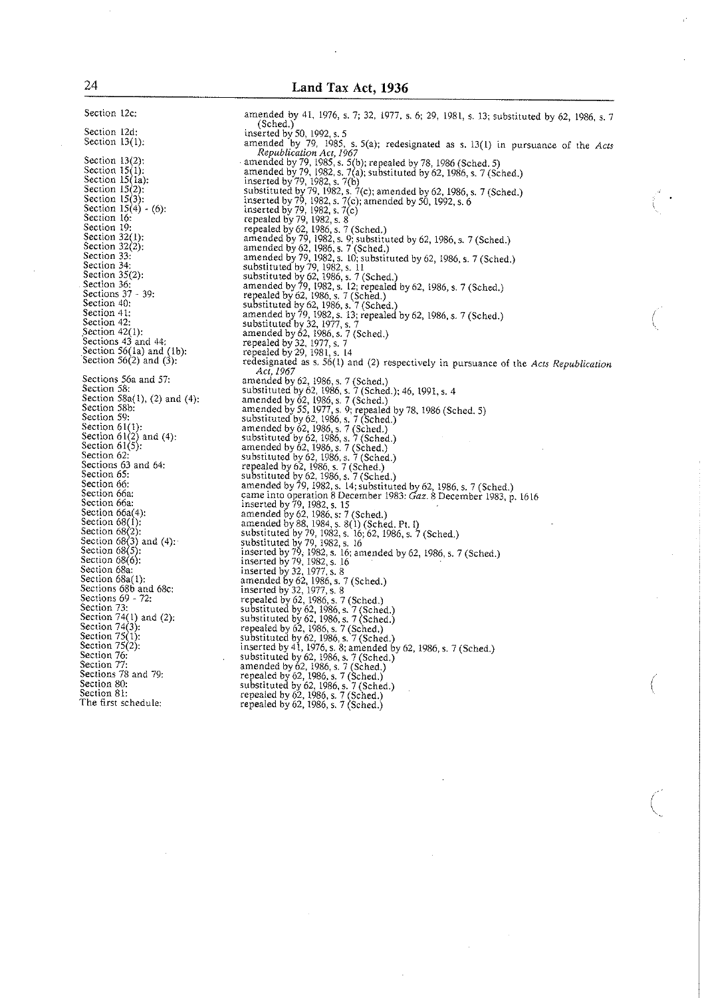Section 12c: Section I2d: Section 13(1): Section 13(2);<br>
Section 15(1);<br>
Section 15(1a);<br>
Section 15(2);<br>
Section 15(3);<br>
Section 15(4) - (6);<br>
Section 16; Section 19:<br>Section 32(1):<br>Section 32(2): Section 33: Section 34: Section 35(2): Section 36: Sections  $37 - 39$ : Section 40: Section 41: Section 42: Section 42(1): Sections 43 and 44:<br>Section 56(1a) and (1b):<br>Section 56(2) and (3): Sections 56a and 57: Section 58: Section 58a(l), (2) and (4): Section 58b: Section 59: Section  $61(1)$ :<br>Section  $61(2)$  and (4):<br>Section  $61(5)$ :<br>Section  $62$ : Sections 63 and 64: Section 65: Section 66: Section 66a: Section 66a: Section 66a(4): Section  $68(1)$ : Section 68(2):<br>Section 68(3) and (4):<br>Section 68(5): Section  $68(6)$ : Section 68a: Section 68a(1): Sections 68b and 68c: Sections 69 - 72: Section 73: Section 74(1) and (2): Section 76: Section 77: Sections 78 and 79: Section 80: Section 81:

The first schedule:

amended by 41, 1976, s. 7; 32, 1977, s. 6; 29, 1981, s. 13; substituted by 62, 1986, s. 7 (Sched.) inserted by 50, 1992. s. 5 amended by 79, 1985, s. 5(a); redesignated as s. 13(1) in pursuance of the *Acts* Republication Act, 1967<br>amended by 79, 1985, s. 5(b); repealed by 78, 1986 (Sched. 5)<br>amended by 79, 1982, s. 7(a); substituted by 62, 1986, s. 7 (Sched.) inserted by 79. 1982, s. 7(b) substituted by 79. 1982, s. 7(c): amended by 62. 1986, s. 7 (Sched.) Inserted by 79, 1982, s. 7(c); amended by 50, 1992, s. 6 inserted by 79, 1982. s. 7(c) repealed by 79, 1982, s. 8 repealed by 62, 1986, s. 7 (Sched.)<br>amended by 79, 1982, s. 9; substituted by 62, 1986, s. 7 (Sched.)<br>amended by 62, 1986, s. 7 (Sched.) amended by 79, 1982, s. 10; substituted by 62, 1986, s. 7 (Sched.)<br>substituted by 79, 1982, s. 11<br>substituted by 62, 1986, s. 7 (Sched.) amended by 79, 1982, s. 12; repealed by 62, 1986, s. 7 (Sched.)<br>repealed by 62, 1986, s. 7 (Sched.) substituted by 62, 1986, s. 7 (Sched.)<br>amended by 79, 1982, s. 13; repealed by 62, 1986, s. 7 (Sched.)<br>substituted by 32, 1977, s. 7<br>amended by 62, 1986, s. 7 (Sched.) repealed by 32, 1977, s. 7 repealed by 29, 1981, s. 14 redesignated as s. 56(1) and (2) respectively in pursuance of the *Acts Republication Act, 1967*  amended by 62, 1986, s. 7 (Sched.) substituted by 62, 1986. s. 7(Sched.); 46, 1991, s. 4 amended by 62, 1986, s. 7 (Sched.) amended by 55, 1977, s. '); repealed by 78, 1986 (Sched. 5) substituted by 62, 1986, s. 7 (Sched.) amended by 62,1986, s. 7 (Sched.) substituted by 62. 1986. s. 7 (Sched.) amended by 62, 1986,s. 7 (Sched.) substituted by 62, 1986, s. 7 (Sched.)<br>repealed by 62, 1986, s. 7 (Sched.)<br>substituted by 62, 1986, s. 7 (Sched.)<br>amended by 79, 1982, s. 14; substituted by 62, 1986, s. 7 (Sched.)<br>came into operation 8 December 1983: *Gaz* inserted by 79. 1982, s. 15 amended by 62, 1986, s: 7 (Sched.) amended by 88. 1984. s. 8(1) (Sched. Pt. I) substituted by 70, 1982, s. 16; 62, 1986, s. 7 (Sched.) substituted by 79, 1982, s. 16 inserted by 79, 1982, s. 16: amended by 62, 1986, s. 7 (Sched.) inserted by 79. 1982,s. 16 inserted by 32. 1977, s. 8 amended by 62. 1986, s. 7 (Sched.) inserted by 32, 1977, s. 8 repealed by 62, 1986, s. 7 (Sched.)<br>substituted by 62, 1986, s. 7 (Sched.)<br>substituted by 62, 1986, s. 7 (Sched.)<br>repealed by 62, 1986, s. 7 (Sched.) substituted by 62, 1986, s. 7 (Schéd.)<br>inserted by 41, 1976, s. 8; amended by 62, 1986, s. 7 (Sched.)<br>substituted by 62, 1986, s. 7 (Sched.)<br>amended by 62, 1986, s. 7 (Sched.)<br>repealed by 62, 1986, s. 7 (Sched.) substituted by 62, 1986, s. 7 (Sched.)<br>repealed by 62, 1986, s. 7 (Sched.)<br>repealed by 62, 1986, s. 7 (Sched.)